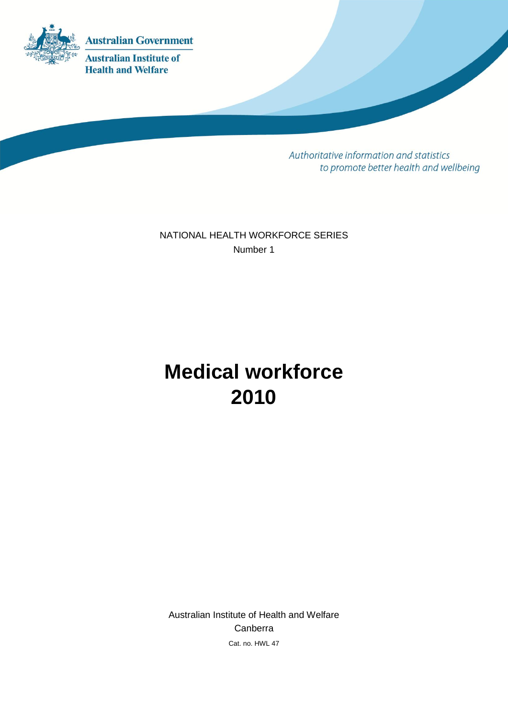

Authoritative information and statistics to promote better health and wellbeing

NATIONAL HEALTH WORKFORCE SERIES Number 1

# **Medical workforce 2010**

Australian Institute of Health and Welfare Canberra Cat. no. HWL 47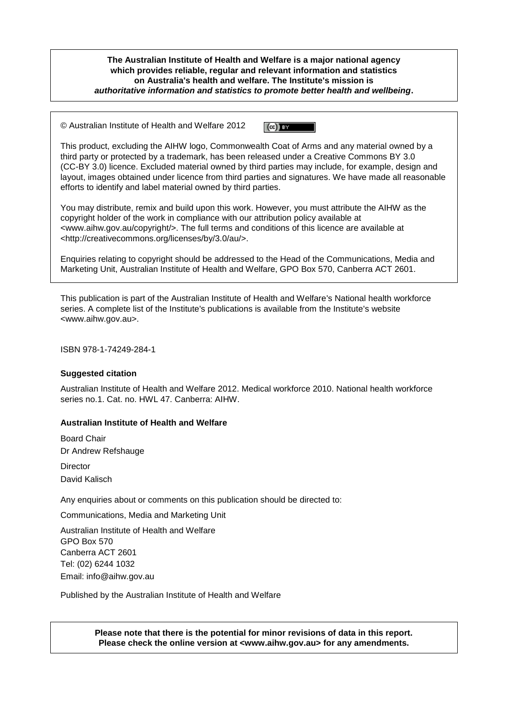**The Australian Institute of Health and Welfare is a major national agency which provides reliable, regular and relevant information and statistics on Australia's health and welfare. The Institute's mission is** *authoritative information and statistics to promote better health and wellbeing***.**

© Australian Institute of Health and Welfare 2012  $\left(\mathrm{ce}\right)$  by

This product, excluding the AIHW logo, Commonwealth Coat of Arms and any material owned by a third party or protected by a trademark, has been released under a Creative Commons BY 3.0 (CC-BY 3.0) licence. Excluded material owned by third parties may include, for example, design and layout, images obtained under licence from third parties and signatures. We have made all reasonable efforts to identify and label material owned by third parties.

You may distribute, remix and build upon this work. However, you must attribute the AIHW as the copyright holder of the work in compliance with our attribution policy available at <www.aihw.gov.au/copyright/>. The full terms and conditions of this licence are available at <http://creativecommons.org/licenses/by/3.0/au/>.

Enquiries relating to copyright should be addressed to the Head of the Communications, Media and Marketing Unit, Australian Institute of Health and Welfare, GPO Box 570, Canberra ACT 2601.

This publication is part of the Australian Institute of Health and Welfare's National health workforce series. A complete list of the Institute's publications is available from the Institute's website <www.aihw.gov.au>.

ISBN 978-1-74249-284-1

#### **Suggested citation**

Australian Institute of Health and Welfare 2012. Medical workforce 2010. National health workforce series no.1. Cat. no. HWL 47. Canberra: AIHW.

#### **Australian Institute of Health and Welfare**

Board Chair Dr Andrew Refshauge **Director** 

David Kalisch

Any enquiries about or comments on this publication should be directed to:

Communications, Media and Marketing Unit

Australian Institute of Health and Welfare GPO Box 570 Canberra ACT 2601 Tel: (02) 6244 1032 Email: info@aihw.gov.au

Published by the Australian Institute of Health and Welfare

**Please note that there is the potential for minor revisions of data in this report. Please check the online version at <www.aihw.gov.au> for any amendments.**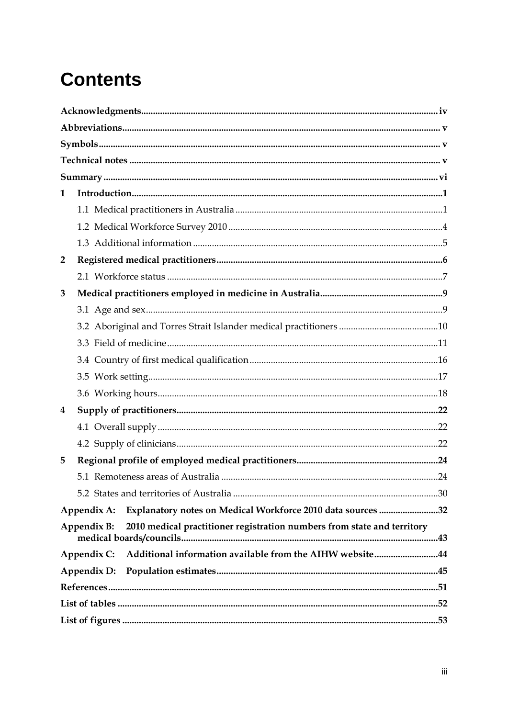# **Contents**

| 1              |                                                                                        |  |
|----------------|----------------------------------------------------------------------------------------|--|
|                |                                                                                        |  |
|                |                                                                                        |  |
|                |                                                                                        |  |
| $\overline{2}$ |                                                                                        |  |
|                |                                                                                        |  |
| 3              |                                                                                        |  |
|                |                                                                                        |  |
|                |                                                                                        |  |
|                |                                                                                        |  |
|                |                                                                                        |  |
|                |                                                                                        |  |
|                |                                                                                        |  |
| 4              |                                                                                        |  |
|                |                                                                                        |  |
|                |                                                                                        |  |
| 5              |                                                                                        |  |
|                |                                                                                        |  |
|                |                                                                                        |  |
|                | Explanatory notes on Medical Workforce 2010 data sources 32<br>Appendix A:             |  |
|                | 2010 medical practitioner registration numbers from state and territory<br>Appendix B: |  |
|                | Additional information available from the AIHW website44<br>Appendix C:                |  |
|                | Appendix D:                                                                            |  |
|                |                                                                                        |  |
|                |                                                                                        |  |
|                |                                                                                        |  |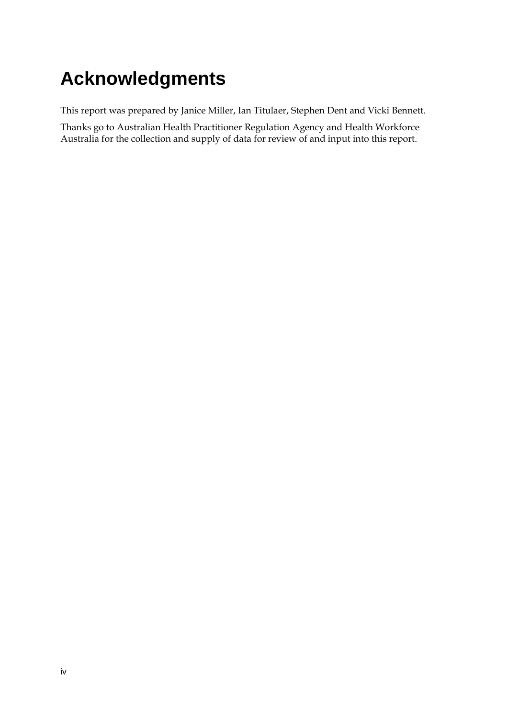# <span id="page-3-0"></span>**Acknowledgments**

This report was prepared by Janice Miller, Ian Titulaer, Stephen Dent and Vicki Bennett.

Thanks go to Australian Health Practitioner Regulation Agency and Health Workforce Australia for the collection and supply of data for review of and input into this report.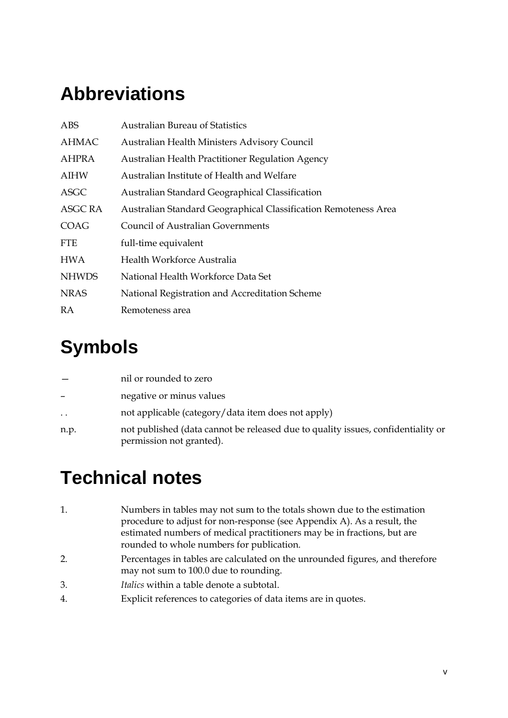# <span id="page-4-0"></span>**Abbreviations**

| ABS            | <b>Australian Bureau of Statistics</b>                          |
|----------------|-----------------------------------------------------------------|
| <b>AHMAC</b>   | Australian Health Ministers Advisory Council                    |
| <b>AHPRA</b>   | Australian Health Practitioner Regulation Agency                |
| AIHW           | Australian Institute of Health and Welfare                      |
| ASGC           | Australian Standard Geographical Classification                 |
| <b>ASGC RA</b> | Australian Standard Geographical Classification Remoteness Area |
| COAG           | <b>Council of Australian Governments</b>                        |
| <b>FTE</b>     | full-time equivalent                                            |
| <b>HWA</b>     | Health Workforce Australia                                      |
| <b>NHWDS</b>   | National Health Workforce Data Set                              |
| <b>NRAS</b>    | National Registration and Accreditation Scheme                  |
| <b>RA</b>      | Remoteness area                                                 |
|                |                                                                 |

# <span id="page-4-1"></span>**Symbols**

|           | nil or rounded to zero                                                                                       |
|-----------|--------------------------------------------------------------------------------------------------------------|
|           | negative or minus values                                                                                     |
| $\ddotsc$ | not applicable (category/data item does not apply)                                                           |
| n.p.      | not published (data cannot be released due to quality issues, confidentiality or<br>permission not granted). |

# <span id="page-4-2"></span>**Technical notes**

- 1. Numbers in tables may not sum to the totals shown due to the estimation procedure to adjust for non-response (see Appendix A). As a result, the estimated numbers of medical practitioners may be in fractions, but are rounded to whole numbers for publication.
- 2. Percentages in tables are calculated on the unrounded figures, and therefore may not sum to 100.0 due to rounding.
- 3. *Italics* within a table denote a subtotal.
- 4. Explicit references to categories of data items are in quotes.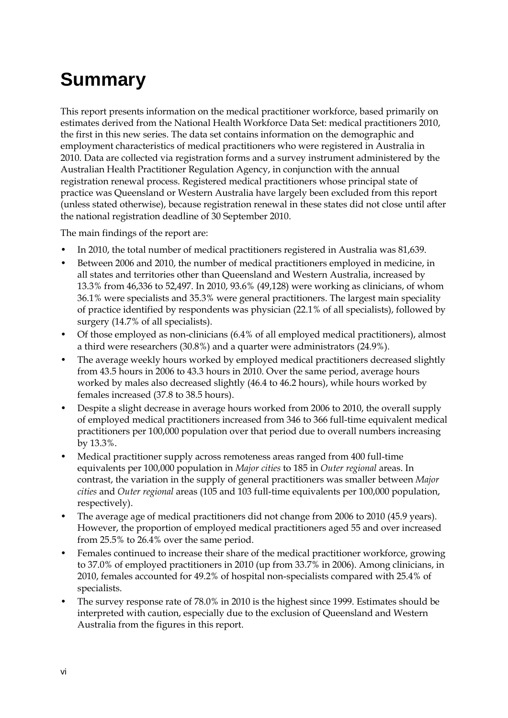# <span id="page-5-0"></span>**Summary**

This report presents information on the medical practitioner workforce, based primarily on estimates derived from the National Health Workforce Data Set: medical practitioners 2010, the first in this new series. The data set contains information on the demographic and employment characteristics of medical practitioners who were registered in Australia in 2010. Data are collected via registration forms and a survey instrument administered by the Australian Health Practitioner Regulation Agency, in conjunction with the annual registration renewal process. Registered medical practitioners whose principal state of practice was Queensland or Western Australia have largely been excluded from this report (unless stated otherwise), because registration renewal in these states did not close until after the national registration deadline of 30 September 2010.

The main findings of the report are:

- In 2010, the total number of medical practitioners registered in Australia was 81,639.
- Between 2006 and 2010, the number of medical practitioners employed in medicine, in all states and territories other than Queensland and Western Australia, increased by 13.3% from 46,336 to 52,497. In 2010, 93.6% (49,128) were working as clinicians, of whom 36.1% were specialists and 35.3% were general practitioners. The largest main speciality of practice identified by respondents was physician (22.1% of all specialists), followed by surgery (14.7% of all specialists).
- Of those employed as non-clinicians (6.4% of all employed medical practitioners), almost a third were researchers (30.8%) and a quarter were administrators (24.9%).
- The average weekly hours worked by employed medical practitioners decreased slightly from 43.5 hours in 2006 to 43.3 hours in 2010. Over the same period, average hours worked by males also decreased slightly (46.4 to 46.2 hours), while hours worked by females increased (37.8 to 38.5 hours).
- Despite a slight decrease in average hours worked from 2006 to 2010, the overall supply of employed medical practitioners increased from 346 to 366 full-time equivalent medical practitioners per 100,000 population over that period due to overall numbers increasing by 13.3%.
- Medical practitioner supply across remoteness areas ranged from 400 full-time equivalents per 100,000 population in *Major cities* to 185 in *Outer regional* areas. In contrast, the variation in the supply of general practitioners was smaller between *Major cities* and *Outer regional* areas (105 and 103 full-time equivalents per 100,000 population, respectively).
- The average age of medical practitioners did not change from 2006 to 2010 (45.9 years). However, the proportion of employed medical practitioners aged 55 and over increased from 25.5% to 26.4% over the same period.
- Females continued to increase their share of the medical practitioner workforce, growing to 37.0% of employed practitioners in 2010 (up from 33.7% in 2006). Among clinicians, in 2010, females accounted for 49.2% of hospital non-specialists compared with 25.4% of specialists.
- The survey response rate of 78.0% in 2010 is the highest since 1999. Estimates should be interpreted with caution, especially due to the exclusion of Queensland and Western Australia from the figures in this report.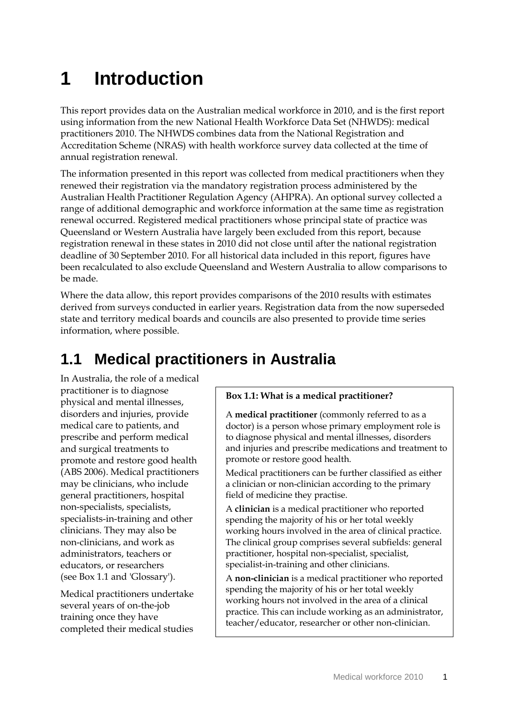# <span id="page-6-0"></span>**1 Introduction**

This report provides data on the Australian medical workforce in 2010, and is the first report using information from the new National Health Workforce Data Set (NHWDS): medical practitioners 2010. The NHWDS combines data from the National Registration and Accreditation Scheme (NRAS) with health workforce survey data collected at the time of annual registration renewal.

The information presented in this report was collected from medical practitioners when they renewed their registration via the mandatory registration process administered by the Australian Health Practitioner Regulation Agency (AHPRA). An optional survey collected a range of additional demographic and workforce information at the same time as registration renewal occurred. Registered medical practitioners whose principal state of practice was Queensland or Western Australia have largely been excluded from this report, because registration renewal in these states in 2010 did not close until after the national registration deadline of 30 September 2010. For all historical data included in this report, figures have been recalculated to also exclude Queensland and Western Australia to allow comparisons to be made.

Where the data allow, this report provides comparisons of the 2010 results with estimates derived from surveys conducted in earlier years. Registration data from the now superseded state and territory medical boards and councils are also presented to provide time series information, where possible.

## <span id="page-6-1"></span>**1.1 Medical practitioners in Australia**

In Australia, the role of a medical practitioner is to diagnose physical and mental illnesses, disorders and injuries, provide medical care to patients, and prescribe and perform medical and surgical treatments to promote and restore good health (ABS 2006). Medical practitioners may be clinicians, who include general practitioners, hospital non-specialists, specialists, specialists-in-training and other clinicians. They may also be non-clinicians, and work as administrators, teachers or educators, or researchers (see Box 1.1 and 'Glossary').

Medical practitioners undertake several years of on-the-job training once they have completed their medical studies

#### **Box 1.1: What is a medical practitioner?**

A **medical practitioner** (commonly referred to as a doctor) is a person whose primary employment role is to diagnose physical and mental illnesses, disorders and injuries and prescribe medications and treatment to promote or restore good health.

Medical practitioners can be further classified as either a clinician or non-clinician according to the primary field of medicine they practise.

A **clinician** is a medical practitioner who reported spending the majority of his or her total weekly working hours involved in the area of clinical practice. The clinical group comprises several subfields: general practitioner, hospital non-specialist, specialist, specialist-in-training and other clinicians.

A **non-clinician** is a medical practitioner who reported spending the majority of his or her total weekly working hours not involved in the area of a clinical practice. This can include working as an administrator, teacher/educator, researcher or other non-clinician.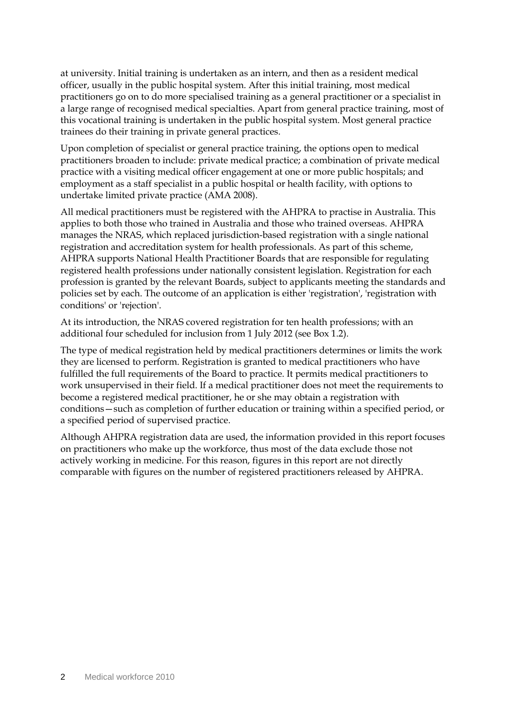at university. Initial training is undertaken as an intern, and then as a resident medical officer, usually in the public hospital system. After this initial training, most medical practitioners go on to do more specialised training as a general practitioner or a specialist in a large range of recognised medical specialties. Apart from general practice training, most of this vocational training is undertaken in the public hospital system. Most general practice trainees do their training in private general practices.

Upon completion of specialist or general practice training, the options open to medical practitioners broaden to include: private medical practice; a combination of private medical practice with a visiting medical officer engagement at one or more public hospitals; and employment as a staff specialist in a public hospital or health facility, with options to undertake limited private practice (AMA 2008).

All medical practitioners must be registered with the AHPRA to practise in Australia. This applies to both those who trained in Australia and those who trained overseas. AHPRA manages the NRAS, which replaced jurisdiction-based registration with a single national registration and accreditation system for health professionals. As part of this scheme, AHPRA supports National Health Practitioner Boards that are responsible for regulating registered health professions under nationally consistent legislation. Registration for each profession is granted by the relevant Boards, subject to applicants meeting the standards and policies set by each. The outcome of an application is either 'registration', 'registration with conditions' or 'rejection'.

At its introduction, the NRAS covered registration for ten health professions; with an additional four scheduled for inclusion from 1 July 2012 (see Box 1.2).

The type of medical registration held by medical practitioners determines or limits the work they are licensed to perform. Registration is granted to medical practitioners who have fulfilled the full requirements of the Board to practice. It permits medical practitioners to work unsupervised in their field. If a medical practitioner does not meet the requirements to become a registered medical practitioner, he or she may obtain a registration with conditions—such as completion of further education or training within a specified period, or a specified period of supervised practice.

Although AHPRA registration data are used, the information provided in this report focuses on practitioners who make up the workforce, thus most of the data exclude those not actively working in medicine. For this reason, figures in this report are not directly comparable with figures on the number of registered practitioners released by AHPRA.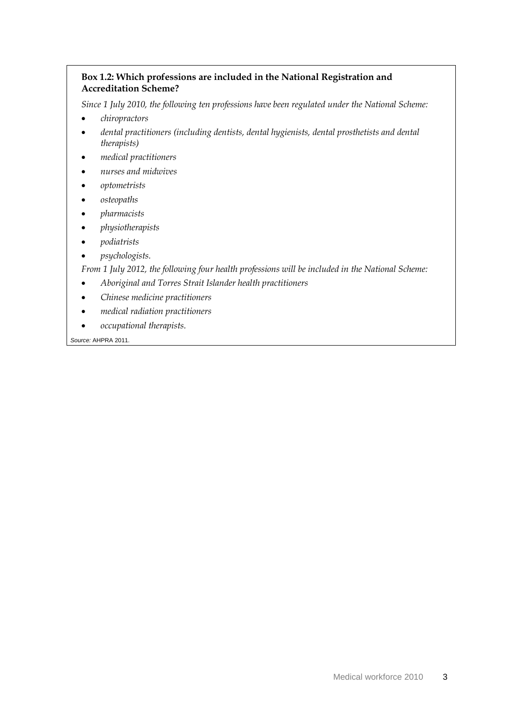#### **Box 1.2: Which professions are included in the National Registration and Accreditation Scheme?**

*Since 1 July 2010, the following ten professions have been regulated under the National Scheme:* 

- *chiropractors*
- *dental practitioners (including dentists, dental hygienists, dental prosthetists and dental therapists)*
- *medical practitioners*
- *nurses and midwives*
- *optometrists*
- *osteopaths*
- *pharmacists*
- *physiotherapists*
- *podiatrists*
- *psychologists.*

*From 1 July 2012, the following four health professions will be included in the National Scheme:*

- *Aboriginal and Torres Strait Islander health practitioners*
- *Chinese medicine practitioners*
- *medical radiation practitioners*
- *occupational therapists.*

*Source:* [AHPRA 2011.](#page-56-1)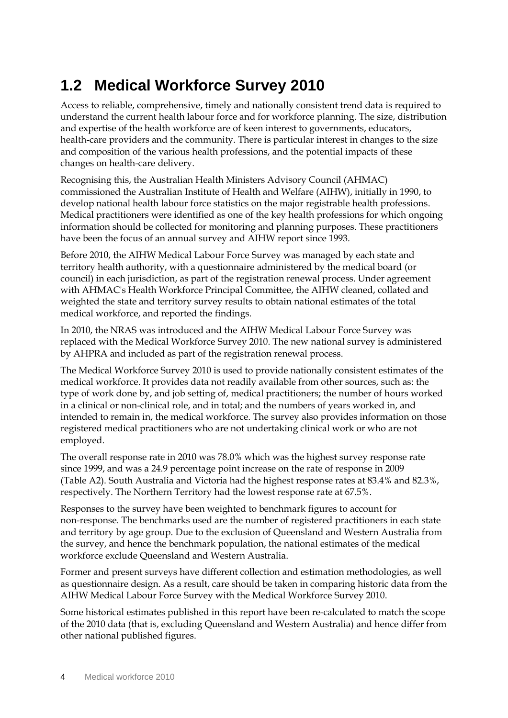## <span id="page-9-0"></span>**1.2 Medical Workforce Survey 2010**

Access to reliable, comprehensive, timely and nationally consistent trend data is required to understand the current health labour force and for workforce planning. The size, distribution and expertise of the health workforce are of keen interest to governments, educators, health-care providers and the community. There is particular interest in changes to the size and composition of the various health professions, and the potential impacts of these changes on health-care delivery.

Recognising this, the Australian Health Ministers Advisory Council (AHMAC) commissioned the Australian Institute of Health and Welfare (AIHW), initially in 1990, to develop national health labour force statistics on the major registrable health professions. Medical practitioners were identified as one of the key health professions for which ongoing information should be collected for monitoring and planning purposes. These practitioners have been the focus of an annual survey and AIHW report since 1993.

Before 2010, the AIHW Medical Labour Force Survey was managed by each state and territory health authority, with a questionnaire administered by the medical board (or council) in each jurisdiction, as part of the registration renewal process. Under agreement with AHMAC's Health Workforce Principal Committee, the AIHW cleaned, collated and weighted the state and territory survey results to obtain national estimates of the total medical workforce, and reported the findings.

In 2010, the NRAS was introduced and the AIHW Medical Labour Force Survey was replaced with the Medical Workforce Survey 2010. The new national survey is administered by AHPRA and included as part of the registration renewal process.

The Medical Workforce Survey 2010 is used to provide nationally consistent estimates of the medical workforce. It provides data not readily available from other sources, such as: the type of work done by, and job setting of, medical practitioners; the number of hours worked in a clinical or non-clinical role, and in total; and the numbers of years worked in, and intended to remain in, the medical workforce. The survey also provides information on those registered medical practitioners who are not undertaking clinical work or who are not employed.

The overall response rate in 2010 was 78.0% which was the highest survey response rate since 1999, and was a 24.9 percentage point increase on the rate of response in 2009 (Table A2). South Australia and Victoria had the highest response rates at 83.4% and 82.3%, respectively. The Northern Territory had the lowest response rate at 67.5%.

Responses to the survey have been weighted to benchmark figures to account for non-response. The benchmarks used are the number of registered practitioners in each state and territory by age group. Due to the exclusion of Queensland and Western Australia from the survey, and hence the benchmark population, the national estimates of the medical workforce exclude Queensland and Western Australia.

Former and present surveys have different collection and estimation methodologies, as well as questionnaire design. As a result, care should be taken in comparing historic data from the AIHW Medical Labour Force Survey with the Medical Workforce Survey 2010.

Some historical estimates published in this report have been re-calculated to match the scope of the 2010 data (that is, excluding Queensland and Western Australia) and hence differ from other national published figures.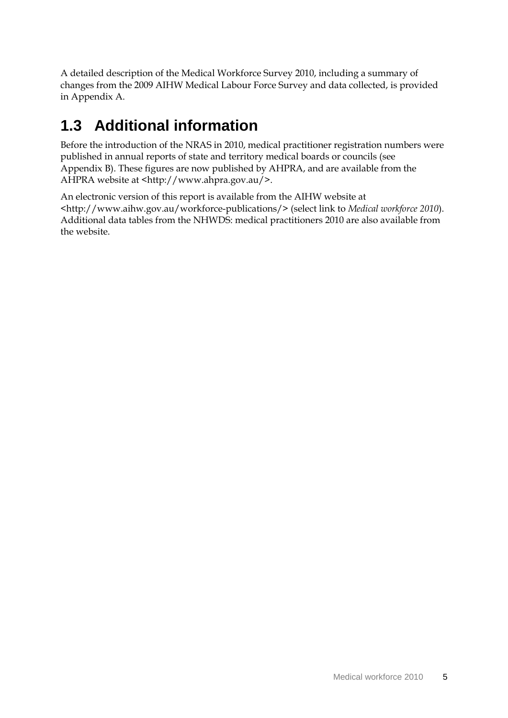A detailed description of the Medical Workforce Survey 2010, including a summary of changes from the 2009 AIHW Medical Labour Force Survey and data collected, is provided in Appendix A.

## <span id="page-10-0"></span>**1.3 Additional information**

Before the introduction of the NRAS in 2010, medical practitioner registration numbers were published in annual reports of state and territory medical boards or councils (see Appendix B). These figures are now published by AHPRA, and are available from the AHPRA website at <http://www.ahpra.gov.au/>.

An electronic version of this report is available from the AIHW website at <http://www.aihw.gov.au/workforce-publications/> (select link to *Medical workforce 2010*). Additional data tables from the NHWDS: medical practitioners 2010 are also available from the website.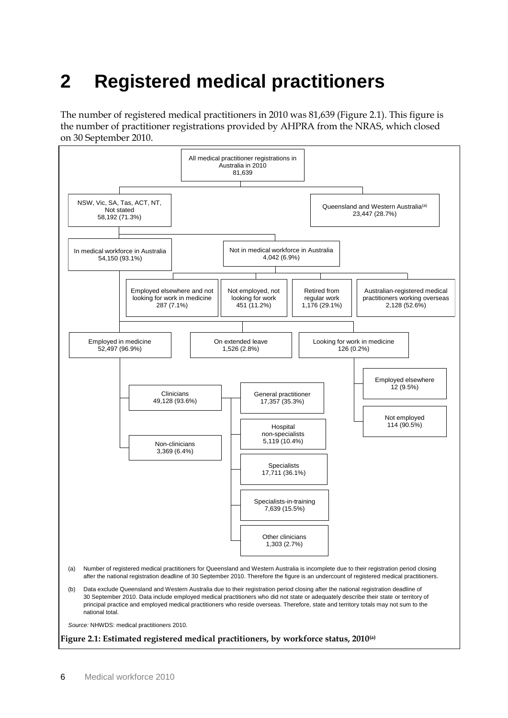# <span id="page-11-0"></span>**2 Registered medical practitioners**

The number of registered medical practitioners in 2010 was 81,639 (Figure 2.1). This figure is the number of practitioner registrations provided by AHPRA from the NRAS, which closed on 30 September 2010.

<span id="page-11-1"></span>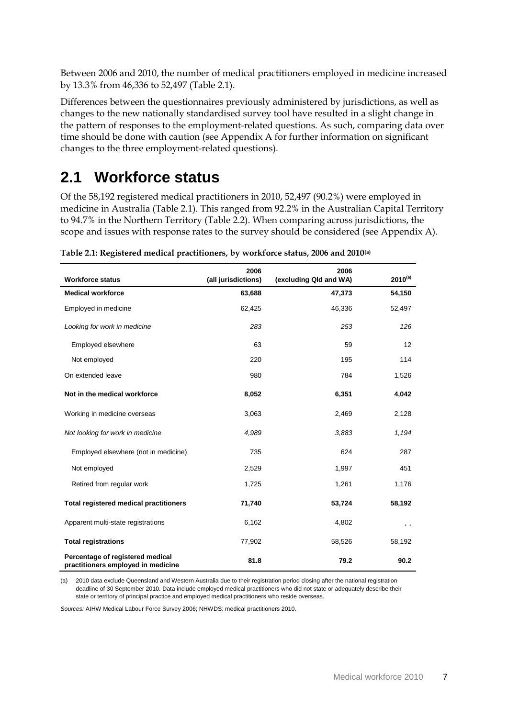Between 2006 and 2010, the number of medical practitioners employed in medicine increased by 13.3% from 46,336 to 52,497 (Table 2.1).

Differences between the questionnaires previously administered by jurisdictions, as well as changes to the new nationally standardised survey tool have resulted in a slight change in the pattern of responses to the employment-related questions. As such, comparing data over time should be done with caution (see Appendix A for further information on significant changes to the three employment-related questions).

## <span id="page-12-0"></span>**2.1 Workforce status**

Of the 58,192 registered medical practitioners in 2010, 52,497 (90.2%) were employed in medicine in Australia (Table 2.1). This ranged from 92.2% in the Australian Capital Territory to 94.7% in the Northern Territory (Table 2.2). When comparing across jurisdictions, the scope and issues with response rates to the survey should be considered (see Appendix A).

| <b>Workforce status</b>                                                | 2006<br>(all jurisdictions) | 2006<br>(excluding Qld and WA) | $2010^{(a)}$         |
|------------------------------------------------------------------------|-----------------------------|--------------------------------|----------------------|
|                                                                        |                             |                                |                      |
| <b>Medical workforce</b>                                               | 63,688                      | 47,373                         | 54,150               |
| Employed in medicine                                                   | 62,425                      | 46,336                         | 52,497               |
| Looking for work in medicine                                           | 283                         | 253                            | 126                  |
| Employed elsewhere                                                     | 63                          | 59                             | 12                   |
| Not employed                                                           | 220                         | 195                            | 114                  |
| On extended leave                                                      | 980                         | 784                            | 1,526                |
| Not in the medical workforce                                           | 8,052                       | 6,351                          | 4,042                |
| Working in medicine overseas                                           | 3,063                       | 2,469                          | 2,128                |
| Not looking for work in medicine                                       | 4.989                       | 3,883                          | 1,194                |
| Employed elsewhere (not in medicine)                                   | 735                         | 624                            | 287                  |
| Not employed                                                           | 2,529                       | 1,997                          | 451                  |
| Retired from regular work                                              | 1,725                       | 1,261                          | 1,176                |
| <b>Total registered medical practitioners</b>                          | 71,740                      | 53,724                         | 58,192               |
| Apparent multi-state registrations                                     | 6,162                       | 4,802                          | $\ddot{\phantom{0}}$ |
| <b>Total registrations</b>                                             | 77,902                      | 58,526                         | 58,192               |
| Percentage of registered medical<br>practitioners employed in medicine | 81.8                        | 79.2                           | 90.2                 |

<span id="page-12-1"></span>**Table 2.1: Registered medical practitioners, by workforce status, 2006 and 2010(a)**

(a) 2010 data exclude Queensland and Western Australia due to their registration period closing after the national registration deadline of 30 September 2010. Data include employed medical practitioners who did not state or adequately describe their state or territory of principal practice and employed medical practitioners who reside overseas.

*Sources:* AIHW Medical Labour Force Survey 2006; NHWDS: medical practitioners 2010.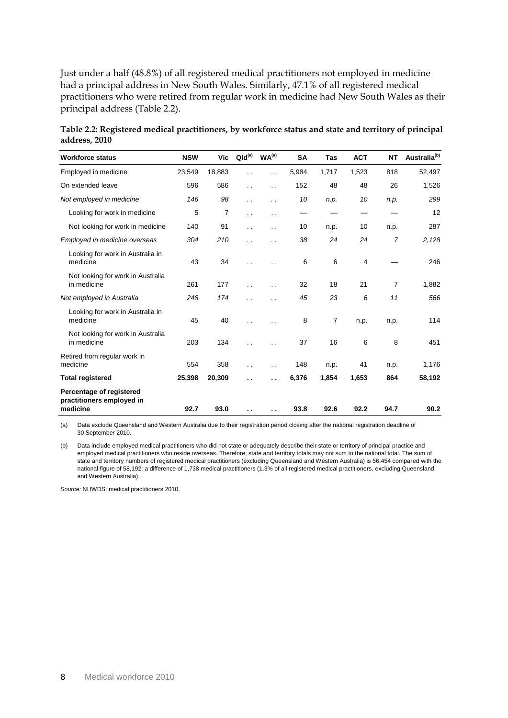Just under a half (48.8%) of all registered medical practitioners not employed in medicine had a principal address in New South Wales. Similarly, 47.1% of all registered medical practitioners who were retired from regular work in medicine had New South Wales as their principal address (Table 2.2).

<span id="page-13-0"></span>

| Table 2.2: Registered medical practitioners, by workforce status and state and territory of principal |  |
|-------------------------------------------------------------------------------------------------------|--|
| address, 2010                                                                                         |  |

| <b>Workforce status</b>                                           | <b>NSW</b> | Vic            | $Qld^{(a)}$          | WA <sup>(a)</sup>    | <b>SA</b> | Tas   | <b>ACT</b>     | <b>NT</b>      | Australia <sup>(b)</sup> |
|-------------------------------------------------------------------|------------|----------------|----------------------|----------------------|-----------|-------|----------------|----------------|--------------------------|
| Employed in medicine                                              | 23,549     | 18,883         | $\ddot{\phantom{0}}$ | $\ddot{\phantom{0}}$ | 5,984     | 1,717 | 1,523          | 818            | 52,497                   |
| On extended leave                                                 | 596        | 586            | . .                  | . .                  | 152       | 48    | 48             | 26             | 1,526                    |
| Not employed in medicine                                          | 146        | 98             | . .                  | . .                  | 10        | n.p.  | 10             | n.p.           | 299                      |
| Looking for work in medicine                                      | 5          | $\overline{7}$ | $\ddot{\phantom{0}}$ | . .                  |           |       |                |                | 12                       |
| Not looking for work in medicine                                  | 140        | 91             | . .                  | $\ddotsc$            | 10        | n.p.  | 10             | n.p.           | 287                      |
| Employed in medicine overseas                                     | 304        | 210            | . .                  | . .                  | 38        | 24    | 24             | $\overline{7}$ | 2,128                    |
| Looking for work in Australia in<br>medicine                      | 43         | 34             | . .                  | . .                  | 6         | 6     | $\overline{4}$ |                | 246                      |
| Not looking for work in Australia<br>in medicine                  | 261        | 177            | $\ddot{\phantom{0}}$ | $\ddot{\phantom{0}}$ | 32        | 18    | 21             | $\overline{7}$ | 1,882                    |
| Not employed in Australia                                         | 248        | 174            | $\cdot$ .            | . .                  | 45        | 23    | 6              | 11             | 566                      |
| Looking for work in Australia in<br>medicine                      | 45         | 40             |                      |                      | 8         | 7     | n.p.           | n.p.           | 114                      |
| Not looking for work in Australia<br>in medicine                  | 203        | 134            | $\ddot{\phantom{0}}$ |                      | 37        | 16    | 6              | 8              | 451                      |
| Retired from regular work in<br>medicine                          | 554        | 358            | $\ddot{\phantom{0}}$ | . .                  | 148       | n.p.  | 41             | n.p.           | 1,176                    |
| <b>Total registered</b>                                           | 25,398     | 20,309         | . .                  | . .                  | 6,376     | 1,854 | 1,653          | 864            | 58,192                   |
| Percentage of registered<br>practitioners employed in<br>medicine | 92.7       | 93.0           | . .                  | . .                  | 93.8      | 92.6  | 92.2           | 94.7           | 90.2                     |

(a) Data exclude Queensland and Western Australia due to their registration period closing after the national registration deadline of 30 September 2010.

(b) Data include employed medical practitioners who did not state or adequately describe their state or territory of principal practice and employed medical practitioners who reside overseas. Therefore, state and territory totals may not sum to the national total. The sum of state and territory numbers of registered medical practitioners (excluding Queensland and Western Australia) is 56,454 compared with the national figure of 58,192; a difference of 1,738 medical practitioners (1.3% of all registered medical practitioners, excluding Queensland and Western Australia).

*Source:* NHWDS: medical practitioners 2010.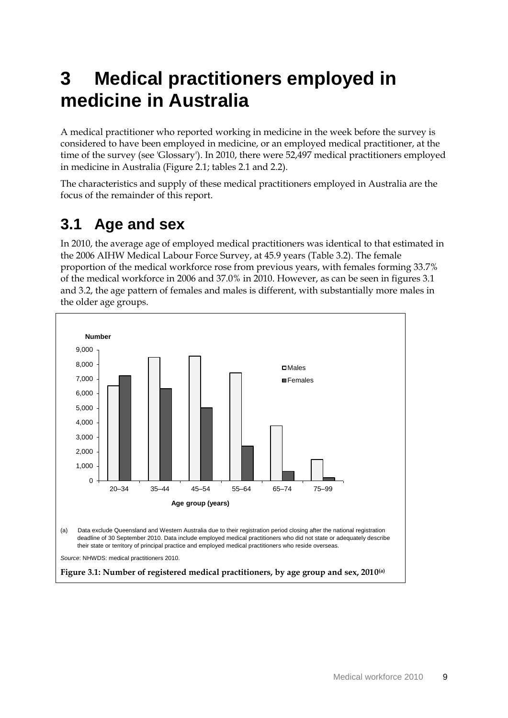# <span id="page-14-0"></span>**3 Medical practitioners employed in medicine in Australia**

A medical practitioner who reported working in medicine in the week before the survey is considered to have been employed in medicine, or an employed medical practitioner, at the time of the survey (see 'Glossary'). In 2010, there were 52,497 medical practitioners employed in medicine in Australia (Figure 2.1; tables 2.1 and 2.2).

The characteristics and supply of these medical practitioners employed in Australia are the focus of the remainder of this report.

## <span id="page-14-1"></span>**3.1 Age and sex**

In 2010, the average age of employed medical practitioners was identical to that estimated in the 2006 AIHW Medical Labour Force Survey, at 45.9 years (Table 3.2). The female proportion of the medical workforce rose from previous years, with females forming 33.7% of the medical workforce in 2006 and 37.0% in 2010. However, as can be seen in figures 3.1 and 3.2, the age pattern of females and males is different, with substantially more males in the older age groups.

<span id="page-14-2"></span>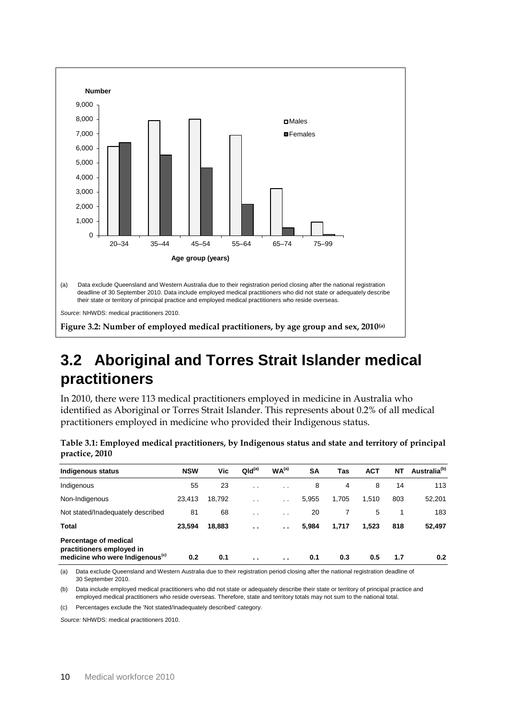

## <span id="page-15-2"></span><span id="page-15-0"></span>**3.2 Aboriginal and Torres Strait Islander medical practitioners**

In 2010, there were 113 medical practitioners employed in medicine in Australia who identified as Aboriginal or Torres Strait Islander. This represents about 0.2% of all medical practitioners employed in medicine who provided their Indigenous status.

| Indigenous status                                                                                 | <b>NSW</b> | Vic    | QId <sup>(a)</sup> | WA <sup>(a)</sup> | <b>SA</b> | Tas   | <b>ACT</b> | <b>NT</b> | Australia <sup>(b)</sup> |
|---------------------------------------------------------------------------------------------------|------------|--------|--------------------|-------------------|-----------|-------|------------|-----------|--------------------------|
| Indigenous                                                                                        | 55         | 23     | $\cdot$ $\cdot$    | $\cdot$ .         | 8         | 4     | 8          | 14        | 113                      |
| Non-Indigenous                                                                                    | 23,413     | 18,792 | $\cdot$ .          | $\cdot$ .         | 5,955     | 1,705 | 1,510      | 803       | 52,201                   |
| Not stated/Inadequately described                                                                 | 81         | 68     | $\cdot$ .          | $\cdot$ .         | 20        |       | 5          |           | 183                      |
| Total                                                                                             | 23,594     | 18,883 | $\sim$             | $\sim$            | 5,984     | 1,717 | 1,523      | 818       | 52,497                   |
| Percentage of medical<br>practitioners employed in<br>medicine who were Indigenous <sup>(c)</sup> | 0.2        | 0.1    | $\sim$             | $\sim$            | 0.1       | 0.3   | 0.5        | 1.7       | 0.2                      |

<span id="page-15-1"></span>**Table 3.1: Employed medical practitioners, by Indigenous status and state and territory of principal practice, 2010**

(a) Data exclude Queensland and Western Australia due to their registration period closing after the national registration deadline of 30 September 2010.

(b) Data include employed medical practitioners who did not state or adequately describe their state or territory of principal practice and employed medical practitioners who reside overseas. Therefore, state and territory totals may not sum to the national total.

(c) Percentages exclude the 'Not stated/Inadequately described' category.

*Source:* NHWDS: medical practitioners 2010.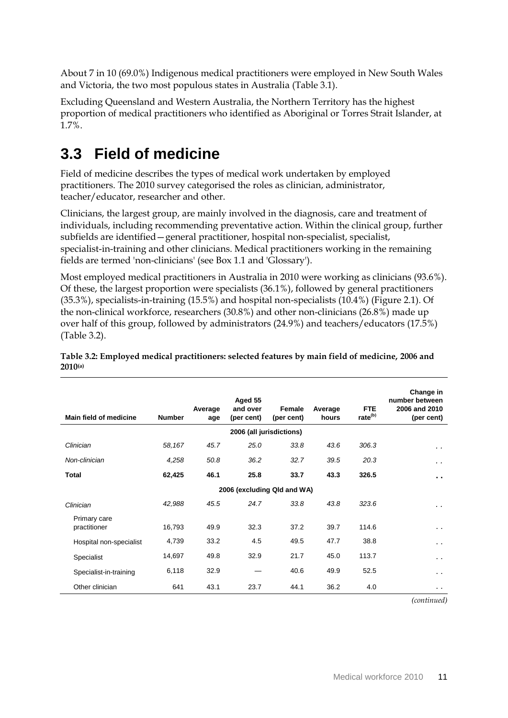About 7 in 10 (69.0%) Indigenous medical practitioners were employed in New South Wales and Victoria, the two most populous states in Australia (Table 3.1).

Excluding Queensland and Western Australia, the Northern Territory has the highest proportion of medical practitioners who identified as Aboriginal or Torres Strait Islander, at 1.7%.

## <span id="page-16-0"></span>**3.3 Field of medicine**

Field of medicine describes the types of medical work undertaken by employed practitioners. The 2010 survey categorised the roles as clinician, administrator, teacher/educator, researcher and other.

Clinicians, the largest group, are mainly involved in the diagnosis, care and treatment of individuals, including recommending preventative action. Within the clinical group, further subfields are identified—general practitioner, hospital non-specialist, specialist, specialist-in-training and other clinicians. Medical practitioners working in the remaining fields are termed 'non-clinicians' (see Box 1.1 and 'Glossary').

Most employed medical practitioners in Australia in 2010 were working as clinicians (93.6%). Of these, the largest proportion were specialists (36.1%), followed by general practitioners (35.3%), specialists-in-training (15.5%) and hospital non-specialists (10.4%) (Figure 2.1). Of the non-clinical workforce, researchers (30.8%) and other non-clinicians (26.8%) made up over half of this group, followed by administrators (24.9%) and teachers/educators (17.5%) (Table 3.2).

| Main field of medicine       | <b>Number</b>               | Average<br>age | Aged 55<br>and over<br>(per cent) | Female<br>(per cent)     | Average<br>hours | <b>FTE</b><br>rate <sup>(b)</sup> | Change in<br>number between<br>2006 and 2010<br>(per cent) |  |  |  |  |  |  |
|------------------------------|-----------------------------|----------------|-----------------------------------|--------------------------|------------------|-----------------------------------|------------------------------------------------------------|--|--|--|--|--|--|
|                              |                             |                |                                   | 2006 (all jurisdictions) |                  |                                   |                                                            |  |  |  |  |  |  |
| Clinician                    | 58,167                      | 45.7           | 25.0                              | 33.8                     | 43.6             | 306.3                             | $\cdot$ .                                                  |  |  |  |  |  |  |
| Non-clinician                | 4,258                       | 50.8           | 36.2                              | 32.7                     | 39.5             | 20.3                              | $\cdot$ $\cdot$                                            |  |  |  |  |  |  |
| Total                        | 62,425                      | 46.1           | 25.8                              | 33.7                     | 43.3             | 326.5                             | $\blacksquare$                                             |  |  |  |  |  |  |
|                              | 2006 (excluding Qld and WA) |                |                                   |                          |                  |                                   |                                                            |  |  |  |  |  |  |
| Clinician                    | 42,988                      | 45.5           | 24.7                              | 33.8                     | 43.8             | 323.6                             | $\ddot{\phantom{1}}$                                       |  |  |  |  |  |  |
| Primary care<br>practitioner | 16,793                      | 49.9           | 32.3                              | 37.2                     | 39.7             | 114.6                             | $\sim$ $\sim$                                              |  |  |  |  |  |  |
| Hospital non-specialist      | 4,739                       | 33.2           | 4.5                               | 49.5                     | 47.7             | 38.8                              | $\sim$ $\sim$                                              |  |  |  |  |  |  |
| Specialist                   | 14,697                      | 49.8           | 32.9                              | 21.7                     | 45.0             | 113.7                             | $\sim$ $\sim$                                              |  |  |  |  |  |  |
| Specialist-in-training       | 6,118                       | 32.9           |                                   | 40.6                     | 49.9             | 52.5                              | $\sim$ $\sim$                                              |  |  |  |  |  |  |
| Other clinician              | 641                         | 43.1           | 23.7                              | 44.1                     | 36.2             | 4.0                               | $\sim$ $\sim$                                              |  |  |  |  |  |  |

<span id="page-16-1"></span>**Table 3.2: Employed medical practitioners: selected features by main field of medicine, 2006 and 2010(a)**

*(continued)*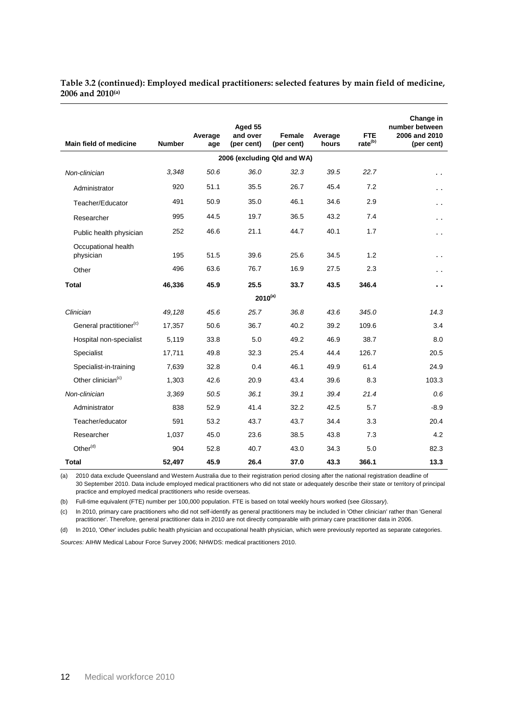#### **Table 3.2 (continued): Employed medical practitioners: selected features by main field of medicine, 2006 and 2010(a)**

| <b>Main field of medicine</b>       | <b>Number</b> | Average<br>age | Aged 55<br>and over<br>(per cent) | Female<br>(per cent) | Average<br>hours | <b>FTE</b><br>rate <sup>(b)</sup> | Change in<br>number between<br>2006 and 2010<br>(per cent) |  |  |  |  |  |
|-------------------------------------|---------------|----------------|-----------------------------------|----------------------|------------------|-----------------------------------|------------------------------------------------------------|--|--|--|--|--|
| 2006 (excluding Qld and WA)         |               |                |                                   |                      |                  |                                   |                                                            |  |  |  |  |  |
| Non-clinician                       | 3,348         | 50.6           | 36.0                              | 32.3                 | 39.5             | 22.7                              | $\ddot{\phantom{0}}$                                       |  |  |  |  |  |
| Administrator                       | 920           | 51.1           | 35.5                              | 26.7                 | 45.4             | 7.2                               | $\sim$                                                     |  |  |  |  |  |
| Teacher/Educator                    | 491           | 50.9           | 35.0                              | 46.1                 | 34.6             | 2.9                               | $\ddot{\phantom{0}}$                                       |  |  |  |  |  |
| Researcher                          | 995           | 44.5           | 19.7                              | 36.5                 | 43.2             | 7.4                               | $\ddot{\phantom{0}}$                                       |  |  |  |  |  |
| Public health physician             | 252           | 46.6           | 21.1                              | 44.7                 | 40.1             | 1.7                               | . .                                                        |  |  |  |  |  |
| Occupational health<br>physician    | 195           | 51.5           | 39.6                              | 25.6                 | 34.5             | 1.2                               |                                                            |  |  |  |  |  |
| Other                               | 496           | 63.6           | 76.7                              | 16.9                 | 27.5             | 2.3                               | $\sim$ $\sim$                                              |  |  |  |  |  |
| <b>Total</b>                        | 46,336        | 45.9           | 25.5                              | 33.7                 | 43.5             | 346.4                             | . .                                                        |  |  |  |  |  |
|                                     |               |                | $2010^{(a)}$                      |                      |                  |                                   |                                                            |  |  |  |  |  |
| Clinician                           | 49,128        | 45.6           | 25.7                              | 36.8                 | 43.6             | 345.0                             | 14.3                                                       |  |  |  |  |  |
| General practitioner <sup>(c)</sup> | 17,357        | 50.6           | 36.7                              | 40.2                 | 39.2             | 109.6                             | 3.4                                                        |  |  |  |  |  |
| Hospital non-specialist             | 5,119         | 33.8           | 5.0                               | 49.2                 | 46.9             | 38.7                              | 8.0                                                        |  |  |  |  |  |
| Specialist                          | 17,711        | 49.8           | 32.3                              | 25.4                 | 44.4             | 126.7                             | 20.5                                                       |  |  |  |  |  |
| Specialist-in-training              | 7,639         | 32.8           | 0.4                               | 46.1                 | 49.9             | 61.4                              | 24.9                                                       |  |  |  |  |  |
| Other clinician <sup>(c)</sup>      | 1,303         | 42.6           | 20.9                              | 43.4                 | 39.6             | 8.3                               | 103.3                                                      |  |  |  |  |  |
| Non-clinician                       | 3,369         | 50.5           | 36.1                              | 39.1                 | 39.4             | 21.4                              | 0.6                                                        |  |  |  |  |  |
| Administrator                       | 838           | 52.9           | 41.4                              | 32.2                 | 42.5             | 5.7                               | $-8.9$                                                     |  |  |  |  |  |
| Teacher/educator                    | 591           | 53.2           | 43.7                              | 43.7                 | 34.4             | 3.3                               | 20.4                                                       |  |  |  |  |  |
| Researcher                          | 1,037         | 45.0           | 23.6                              | 38.5                 | 43.8             | 7.3                               | 4.2                                                        |  |  |  |  |  |
| Other <sup>(d)</sup>                | 904           | 52.8           | 40.7                              | 43.0                 | 34.3             | 5.0                               | 82.3                                                       |  |  |  |  |  |
| Total                               | 52,497        | 45.9           | 26.4                              | 37.0                 | 43.3             | 366.1                             | 13.3                                                       |  |  |  |  |  |

(a) 2010 data exclude Queensland and Western Australia due to their registration period closing after the national registration deadline of 30 September 2010. Data include employed medical practitioners who did not state or adequately describe their state or territory of principal practice and employed medical practitioners who reside overseas.

(b) Full-time equivalent (FTE) number per 100,000 population. FTE is based on total weekly hours worked (see *Glossary*).

(c) In 2010, primary care practitioners who did not self-identify as general practitioners may be included in 'Other clinician' rather than 'General practitioner'. Therefore, general practitioner data in 2010 are not directly comparable with primary care practitioner data in 2006.

(d) In 2010, 'Other' includes public health physician and occupational health physician, which were previously reported as separate categories.

*Sources:* AIHW Medical Labour Force Survey 2006; NHWDS: medical practitioners 2010.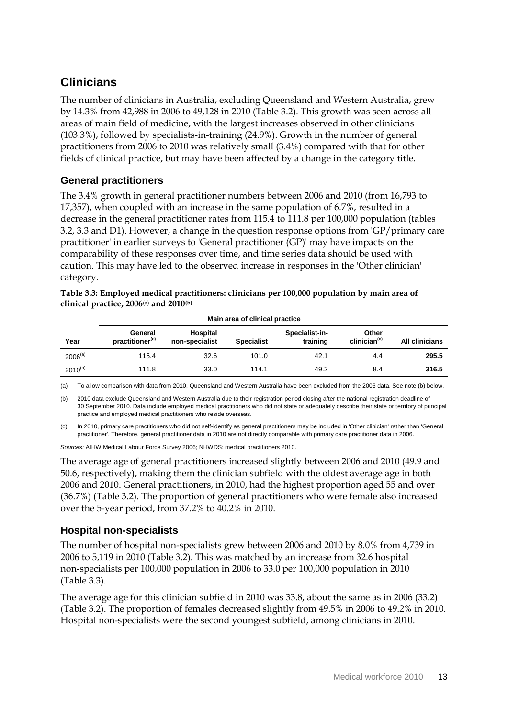### **Clinicians**

The number of clinicians in Australia, excluding Queensland and Western Australia, grew by 14.3% from 42,988 in 2006 to 49,128 in 2010 (Table 3.2). This growth was seen across all areas of main field of medicine, with the largest increases observed in other clinicians (103.3%), followed by specialists-in-training (24.9%). Growth in the number of general practitioners from 2006 to 2010 was relatively small (3.4%) compared with that for other fields of clinical practice, but may have been affected by a change in the category title.

#### **General practitioners**

The 3.4% growth in general practitioner numbers between 2006 and 2010 (from 16,793 to 17,357), when coupled with an increase in the same population of 6.7%, resulted in a decrease in the general practitioner rates from 115.4 to 111.8 per 100,000 population (tables 3.2, 3.3 and D1). However, a change in the question response options from 'GP/primary care practitioner' in earlier surveys to 'General practitioner (GP)' may have impacts on the comparability of these responses over time, and time series data should be used with caution. This may have led to the observed increase in responses in the 'Other clinician' category.

<span id="page-18-0"></span>**Table 3.3: Employed medical practitioners: clinicians per 100,000 population by main area of clinical practice, 2006**(a) **and 2010(b)**

|              | Main area of clinical practice         |                            |                   |                            |                                   |                       |  |  |  |  |  |
|--------------|----------------------------------------|----------------------------|-------------------|----------------------------|-----------------------------------|-----------------------|--|--|--|--|--|
| Year         | General<br>practitioner <sup>(c)</sup> | Hospital<br>non-specialist | <b>Specialist</b> | Specialist-in-<br>training | Other<br>clinician <sup>(c)</sup> | <b>All clinicians</b> |  |  |  |  |  |
| $2006^{(a)}$ | 115.4                                  | 32.6                       | 101.0             | 42.1                       | 4.4                               | 295.5                 |  |  |  |  |  |
| $2010^{(b)}$ | 111.8                                  | 33.0                       | 114.1             | 49.2                       | 8.4                               | 316.5                 |  |  |  |  |  |

(a) To allow comparison with data from 2010, Queensland and Western Australia have been excluded from the 2006 data. See note (b) below.

(b) 2010 data exclude Queensland and Western Australia due to their registration period closing after the national registration deadline of 30 September 2010. Data include employed medical practitioners who did not state or adequately describe their state or territory of principal practice and employed medical practitioners who reside overseas.

(c) In 2010, primary care practitioners who did not self-identify as general practitioners may be included in 'Other clinician' rather than 'General practitioner'. Therefore, general practitioner data in 2010 are not directly comparable with primary care practitioner data in 2006.

*Sources:* AIHW Medical Labour Force Survey 2006; NHWDS: medical practitioners 2010.

The average age of general practitioners increased slightly between 2006 and 2010 (49.9 and 50.6, respectively), making them the clinician subfield with the oldest average age in both 2006 and 2010. General practitioners, in 2010, had the highest proportion aged 55 and over (36.7%) (Table 3.2). The proportion of general practitioners who were female also increased over the 5-year period, from 37.2% to 40.2% in 2010.

### **Hospital non-specialists**

The number of hospital non-specialists grew between 2006 and 2010 by 8.0% from 4,739 in 2006 to 5,119 in 2010 (Table 3.2). This was matched by an increase from 32.6 hospital non-specialists per 100,000 population in 2006 to 33.0 per 100,000 population in 2010 (Table 3.3).

The average age for this clinician subfield in 2010 was 33.8, about the same as in 2006 (33.2) (Table 3.2). The proportion of females decreased slightly from 49.5% in 2006 to 49.2% in 2010. Hospital non-specialists were the second youngest subfield, among clinicians in 2010.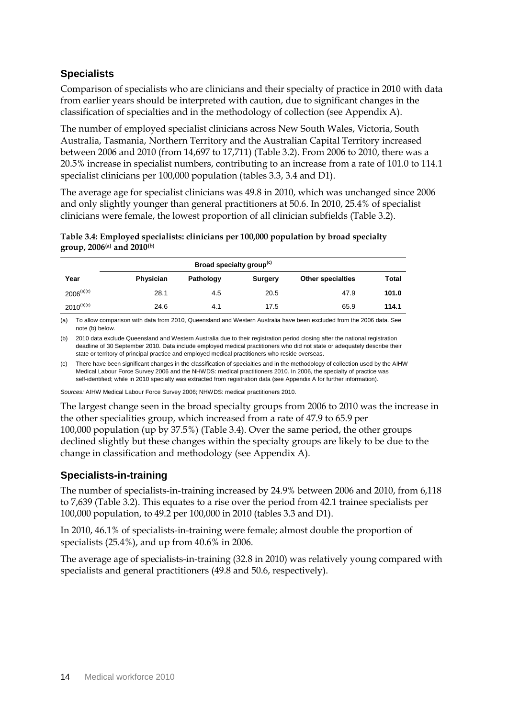### **Specialists**

Comparison of specialists who are clinicians and their specialty of practice in 2010 with data from earlier years should be interpreted with caution, due to significant changes in the classification of specialties and in the methodology of collection (see Appendix A).

The number of employed specialist clinicians across New South Wales, Victoria, South Australia, Tasmania, Northern Territory and the Australian Capital Territory increased between 2006 and 2010 (from 14,697 to 17,711) (Table 3.2). From 2006 to 2010, there was a 20.5% increase in specialist numbers, contributing to an increase from a rate of 101.0 to 114.1 specialist clinicians per 100,000 population (tables 3.3, 3.4 and D1).

The average age for specialist clinicians was 49.8 in 2010, which was unchanged since 2006 and only slightly younger than general practitioners at 50.6. In 2010, 25.4% of specialist clinicians were female, the lowest proportion of all clinician subfields (Table 3.2).

<span id="page-19-0"></span>**Table 3.4: Employed specialists: clinicians per 100,000 population by broad specialty group, 2006(a) and 2010(b)**

|                 | Broad specialty group <sup>(c)</sup> |           |                |                          |              |  |  |  |  |  |  |  |  |
|-----------------|--------------------------------------|-----------|----------------|--------------------------|--------------|--|--|--|--|--|--|--|--|
| Year            | Physician                            | Pathology | <b>Surgery</b> | <b>Other specialties</b> | <b>Total</b> |  |  |  |  |  |  |  |  |
| $2006^{(a)(c)}$ | 28.1                                 | 4.5       | 20.5           | 47.9                     | 101.0        |  |  |  |  |  |  |  |  |
| $2010^{(b)(c)}$ | 24.6                                 | 4.1       | 17.5           | 65.9                     | 114.1        |  |  |  |  |  |  |  |  |

(a) To allow comparison with data from 2010, Queensland and Western Australia have been excluded from the 2006 data. See note (b) below.

(b) 2010 data exclude Queensland and Western Australia due to their registration period closing after the national registration deadline of 30 September 2010. Data include employed medical practitioners who did not state or adequately describe their state or territory of principal practice and employed medical practitioners who reside overseas.

(c) There have been significant changes in the classification of specialties and in the methodology of collection used by the AIHW Medical Labour Force Survey 2006 and the NHWDS: medical practitioners 2010. In 2006, the specialty of practice was self-identified; while in 2010 specialty was extracted from registration data (see Appendix A for further information).

*Sources:* AIHW Medical Labour Force Survey 2006; NHWDS: medical practitioners 2010.

The largest change seen in the broad specialty groups from 2006 to 2010 was the increase in the other specialities group, which increased from a rate of 47.9 to 65.9 per 100,000 population (up by 37.5%) (Table 3.4). Over the same period, the other groups declined slightly but these changes within the specialty groups are likely to be due to the change in classification and methodology (see Appendix A).

### **Specialists-in-training**

The number of specialists-in-training increased by 24.9% between 2006 and 2010, from 6,118 to 7,639 (Table 3.2). This equates to a rise over the period from 42.1 trainee specialists per 100,000 population, to 49.2 per 100,000 in 2010 (tables 3.3 and D1).

In 2010, 46.1% of specialists-in-training were female; almost double the proportion of specialists (25.4%), and up from 40.6% in 2006.

The average age of specialists-in-training (32.8 in 2010) was relatively young compared with specialists and general practitioners (49.8 and 50.6, respectively).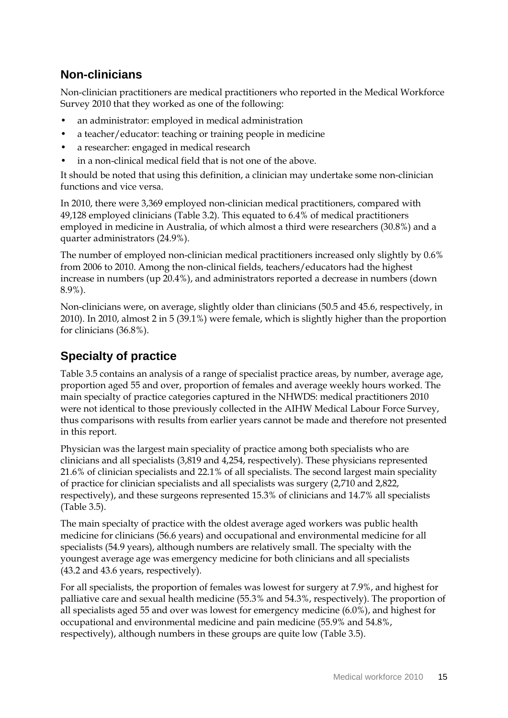## **Non-clinicians**

Non-clinician practitioners are medical practitioners who reported in the Medical Workforce Survey 2010 that they worked as one of the following:

- an administrator: employed in medical administration
- a teacher/educator: teaching or training people in medicine
- a researcher: engaged in medical research
- in a non-clinical medical field that is not one of the above.

It should be noted that using this definition, a clinician may undertake some non-clinician functions and vice versa.

In 2010, there were 3,369 employed non-clinician medical practitioners, compared with 49,128 employed clinicians (Table 3.2). This equated to 6.4% of medical practitioners employed in medicine in Australia, of which almost a third were researchers (30.8%) and a quarter administrators (24.9%).

The number of employed non-clinician medical practitioners increased only slightly by 0.6% from 2006 to 2010. Among the non-clinical fields, teachers/educators had the highest increase in numbers (up 20.4%), and administrators reported a decrease in numbers (down 8.9%).

Non-clinicians were, on average, slightly older than clinicians (50.5 and 45.6, respectively, in 2010). In 2010, almost 2 in 5 (39.1%) were female, which is slightly higher than the proportion for clinicians (36.8%).

## **Specialty of practice**

Table 3.5 contains an analysis of a range of specialist practice areas, by number, average age, proportion aged 55 and over, proportion of females and average weekly hours worked. The main specialty of practice categories captured in the NHWDS: medical practitioners 2010 were not identical to those previously collected in the AIHW Medical Labour Force Survey, thus comparisons with results from earlier years cannot be made and therefore not presented in this report.

Physician was the largest main speciality of practice among both specialists who are clinicians and all specialists (3,819 and 4,254, respectively). These physicians represented 21.6% of clinician specialists and 22.1% of all specialists. The second largest main speciality of practice for clinician specialists and all specialists was surgery (2,710 and 2,822, respectively), and these surgeons represented 15.3% of clinicians and 14.7% all specialists (Table 3.5).

The main specialty of practice with the oldest average aged workers was public health medicine for clinicians (56.6 years) and occupational and environmental medicine for all specialists (54.9 years), although numbers are relatively small. The specialty with the youngest average age was emergency medicine for both clinicians and all specialists (43.2 and 43.6 years, respectively).

For all specialists, the proportion of females was lowest for surgery at 7.9%, and highest for palliative care and sexual health medicine (55.3% and 54.3%, respectively). The proportion of all specialists aged 55 and over was lowest for emergency medicine (6.0%), and highest for occupational and environmental medicine and pain medicine (55.9% and 54.8%, respectively), although numbers in these groups are quite low (Table 3.5).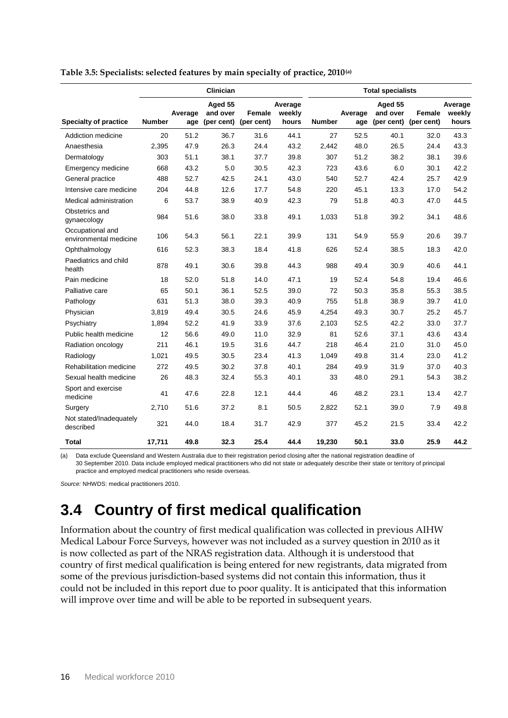|                                            |               |                | Clinician                         |                             |                            | <b>Total specialists</b> |                |                                   |                      |                            |  |
|--------------------------------------------|---------------|----------------|-----------------------------------|-----------------------------|----------------------------|--------------------------|----------------|-----------------------------------|----------------------|----------------------------|--|
| <b>Specialty of practice</b>               | <b>Number</b> | Average<br>age | Aged 55<br>and over<br>(per cent) | <b>Female</b><br>(per cent) | Average<br>weekly<br>hours | <b>Number</b>            | Average<br>age | Aged 55<br>and over<br>(per cent) | Female<br>(per cent) | Average<br>weekly<br>hours |  |
| Addiction medicine                         | 20            | 51.2           | 36.7                              | 31.6                        | 44.1                       | 27                       | 52.5           | 40.1                              | 32.0                 | 43.3                       |  |
| Anaesthesia                                | 2,395         | 47.9           | 26.3                              | 24.4                        | 43.2                       | 2,442                    | 48.0           | 26.5                              | 24.4                 | 43.3                       |  |
| Dermatology                                | 303           | 51.1           | 38.1                              | 37.7                        | 39.8                       | 307                      | 51.2           | 38.2                              | 38.1                 | 39.6                       |  |
| Emergency medicine                         | 668           | 43.2           | 5.0                               | 30.5                        | 42.3                       | 723                      | 43.6           | 6.0                               | 30.1                 | 42.2                       |  |
| General practice                           | 488           | 52.7           | 42.5                              | 24.1                        | 43.0                       | 540                      | 52.7           | 42.4                              | 25.7                 | 42.9                       |  |
| Intensive care medicine                    | 204           | 44.8           | 12.6                              | 17.7                        | 54.8                       | 220                      | 45.1           | 13.3                              | 17.0                 | 54.2                       |  |
| Medical administration                     | 6             | 53.7           | 38.9                              | 40.9                        | 42.3                       | 79                       | 51.8           | 40.3                              | 47.0                 | 44.5                       |  |
| Obstetrics and<br>gynaecology              | 984           | 51.6           | 38.0                              | 33.8                        | 49.1                       | 1,033                    | 51.8           | 39.2                              | 34.1                 | 48.6                       |  |
| Occupational and<br>environmental medicine | 106           | 54.3           | 56.1                              | 22.1                        | 39.9                       | 131                      | 54.9           | 55.9                              | 20.6                 | 39.7                       |  |
| Ophthalmology                              | 616           | 52.3           | 38.3                              | 18.4                        | 41.8                       | 626                      | 52.4           | 38.5                              | 18.3                 | 42.0                       |  |
| Paediatrics and child<br>health            | 878           | 49.1           | 30.6                              | 39.8                        | 44.3                       | 988                      | 49.4           | 30.9                              | 40.6                 | 44.1                       |  |
| Pain medicine                              | 18            | 52.0           | 51.8                              | 14.0                        | 47.1                       | 19                       | 52.4           | 54.8                              | 19.4                 | 46.6                       |  |
| Palliative care                            | 65            | 50.1           | 36.1                              | 52.5                        | 39.0                       | 72                       | 50.3           | 35.8                              | 55.3                 | 38.5                       |  |
| Pathology                                  | 631           | 51.3           | 38.0                              | 39.3                        | 40.9                       | 755                      | 51.8           | 38.9                              | 39.7                 | 41.0                       |  |
| Physician                                  | 3.819         | 49.4           | 30.5                              | 24.6                        | 45.9                       | 4,254                    | 49.3           | 30.7                              | 25.2                 | 45.7                       |  |
| Psychiatry                                 | 1,894         | 52.2           | 41.9                              | 33.9                        | 37.6                       | 2,103                    | 52.5           | 42.2                              | 33.0                 | 37.7                       |  |
| Public health medicine                     | 12            | 56.6           | 49.0                              | 11.0                        | 32.9                       | 81                       | 52.6           | 37.1                              | 43.6                 | 43.4                       |  |
| Radiation oncology                         | 211           | 46.1           | 19.5                              | 31.6                        | 44.7                       | 218                      | 46.4           | 21.0                              | 31.0                 | 45.0                       |  |
| Radiology                                  | 1,021         | 49.5           | 30.5                              | 23.4                        | 41.3                       | 1,049                    | 49.8           | 31.4                              | 23.0                 | 41.2                       |  |
| Rehabilitation medicine                    | 272           | 49.5           | 30.2                              | 37.8                        | 40.1                       | 284                      | 49.9           | 31.9                              | 37.0                 | 40.3                       |  |
| Sexual health medicine                     | 26            | 48.3           | 32.4                              | 55.3                        | 40.1                       | 33                       | 48.0           | 29.1                              | 54.3                 | 38.2                       |  |
| Sport and exercise<br>medicine             | 41            | 47.6           | 22.8                              | 12.1                        | 44.4                       | 46                       | 48.2           | 23.1                              | 13.4                 | 42.7                       |  |
| Surgery                                    | 2,710         | 51.6           | 37.2                              | 8.1                         | 50.5                       | 2,822                    | 52.1           | 39.0                              | 7.9                  | 49.8                       |  |
| Not stated/Inadequately<br>described       | 321           | 44.0           | 18.4                              | 31.7                        | 42.9                       | 377                      | 45.2           | 21.5                              | 33.4                 | 42.2                       |  |
| Total                                      | 17,711        | 49.8           | 32.3                              | 25.4                        | 44.4                       | 19,230                   | 50.1           | 33.0                              | 25.9                 | 44.2                       |  |

#### <span id="page-21-1"></span>**Table 3.5: Specialists: selected features by main specialty of practice, 2010(a)**

(a) Data exclude Queensland and Western Australia due to their registration period closing after the national registration deadline of 30 September 2010. Data include employed medical practitioners who did not state or adequately describe their state or territory of principal practice and employed medical practitioners who reside overseas.

*Source:* NHWDS: medical practitioners 2010.

## <span id="page-21-0"></span>**3.4 Country of first medical qualification**

Information about the country of first medical qualification was collected in previous AIHW Medical Labour Force Surveys, however was not included as a survey question in 2010 as it is now collected as part of the NRAS registration data. Although it is understood that country of first medical qualification is being entered for new registrants, data migrated from some of the previous jurisdiction-based systems did not contain this information, thus it could not be included in this report due to poor quality. It is anticipated that this information will improve over time and will be able to be reported in subsequent years.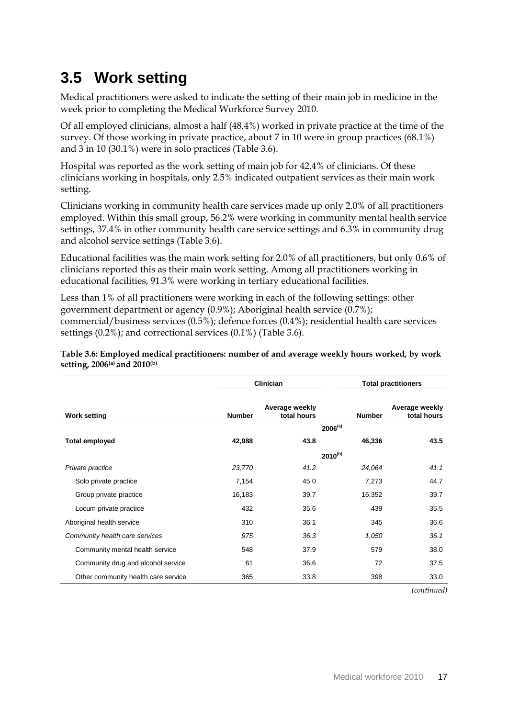## <span id="page-22-0"></span>**3.5 Work setting**

Medical practitioners were asked to indicate the setting of their main job in medicine in the week prior to completing the Medical Workforce Survey 2010.

Of all employed clinicians, almost a half (48.4%) worked in private practice at the time of the survey. Of those working in private practice, about 7 in 10 were in group practices (68.1%) and 3 in 10 (30.1%) were in solo practices (Table 3.6).

Hospital was reported as the work setting of main job for 42.4% of clinicians. Of these clinicians working in hospitals, only 2.5% indicated outpatient services as their main work setting.

Clinicians working in community health care services made up only 2.0% of all practitioners employed. Within this small group, 56.2% were working in community mental health service settings, 37.4% in other community health care service settings and 6.3% in community drug and alcohol service settings (Table 3.6).

Educational facilities was the main work setting for 2.0% of all practitioners, but only 0.6% of clinicians reported this as their main work setting. Among all practitioners working in educational facilities, 91.3% were working in tertiary educational facilities.

Less than 1% of all practitioners were working in each of the following settings: other government department or agency (0.9%); Aboriginal health service (0.7%); commercial/business services (0.5%); defence forces (0.4%); residential health care services settings (0.2%); and correctional services (0.1%) (Table 3.6).

<span id="page-22-1"></span>**Table 3.6: Employed medical practitioners: number of and average weekly hours worked, by work setting, 2006(a) and 2010(b)**

|                                     |               | <b>Clinician</b>              | <b>Total practitioners</b> |                               |  |  |
|-------------------------------------|---------------|-------------------------------|----------------------------|-------------------------------|--|--|
| <b>Work setting</b>                 | <b>Number</b> | Average weekly<br>total hours | <b>Number</b>              | Average weekly<br>total hours |  |  |
|                                     |               |                               | $2006^{(a)}$               |                               |  |  |
| <b>Total employed</b>               | 42,988        | 43.8                          | 46,336                     | 43.5                          |  |  |
|                                     |               |                               | $2010^{(b)}$               |                               |  |  |
| Private practice                    | 23,770        | 41.2                          | 24,064                     | 41.1                          |  |  |
| Solo private practice               | 7,154         | 45.0                          | 7,273                      | 44.7                          |  |  |
| Group private practice              | 16,183        | 39.7                          | 16,352                     | 39.7                          |  |  |
| Locum private practice              | 432           | 35.6                          | 439                        | 35.5                          |  |  |
| Aboriginal health service           | 310           | 36.1                          | 345                        | 36.6                          |  |  |
| Community health care services      | 975           | 36.3                          | 1,050                      | 36.1                          |  |  |
| Community mental health service     | 548           | 37.9                          | 579                        | 38.0                          |  |  |
| Community drug and alcohol service  | 61            | 36.6                          | 72                         | 37.5                          |  |  |
| Other community health care service | 365           | 33.8                          | 398                        | 33.0                          |  |  |

*(continued)*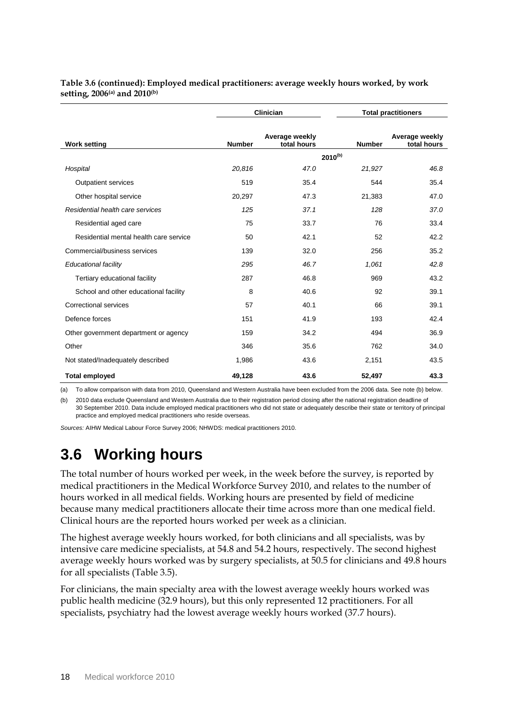| Table 3.6 (continued): Employed medical practitioners: average weekly hours worked, by work |  |
|---------------------------------------------------------------------------------------------|--|
| setting, 2006(a) and 2010(b)                                                                |  |

|                                        |               | <b>Clinician</b>              |               | <b>Total practitioners</b>    |  |  |  |
|----------------------------------------|---------------|-------------------------------|---------------|-------------------------------|--|--|--|
| <b>Work setting</b>                    | <b>Number</b> | Average weekly<br>total hours | <b>Number</b> | Average weekly<br>total hours |  |  |  |
|                                        |               |                               | $2010^{(b)}$  |                               |  |  |  |
| Hospital                               | 20,816        | 47.0                          | 21,927        | 46.8                          |  |  |  |
| <b>Outpatient services</b>             | 519           | 35.4                          | 544           | 35.4                          |  |  |  |
| Other hospital service                 | 20,297        | 47.3                          | 21,383        | 47.0                          |  |  |  |
| Residential health care services       | 125           | 37.1                          | 128           | 37.0                          |  |  |  |
| Residential aged care                  | 75            | 33.7                          | 76            | 33.4                          |  |  |  |
| Residential mental health care service | 50            | 42.1                          | 52            | 42.2                          |  |  |  |
| Commercial/business services           | 139           | 32.0                          | 256           | 35.2                          |  |  |  |
| Educational facility                   | 295           | 46.7                          | 1,061         | 42.8                          |  |  |  |
| Tertiary educational facility          | 287           | 46.8                          | 969           | 43.2                          |  |  |  |
| School and other educational facility  | 8             | 40.6                          | 92            | 39.1                          |  |  |  |
| Correctional services                  | 57            | 40.1                          | 66            | 39.1                          |  |  |  |
| Defence forces                         | 151           | 41.9                          | 193           | 42.4                          |  |  |  |
| Other government department or agency  | 159           | 34.2                          | 494           | 36.9                          |  |  |  |
| Other                                  | 346           | 35.6                          | 762           | 34.0                          |  |  |  |
| Not stated/Inadequately described      | 1,986         | 43.6                          | 2,151         | 43.5                          |  |  |  |
| <b>Total employed</b>                  | 49,128        | 43.6                          | 52,497        | 43.3                          |  |  |  |

(a) To allow comparison with data from 2010, Queensland and Western Australia have been excluded from the 2006 data. See note (b) below.

(b) 2010 data exclude Queensland and Western Australia due to their registration period closing after the national registration deadline of 30 September 2010. Data include employed medical practitioners who did not state or adequately describe their state or territory of principal practice and employed medical practitioners who reside overseas.

*Sources:* AIHW Medical Labour Force Survey 2006; NHWDS: medical practitioners 2010.

## <span id="page-23-0"></span>**3.6 Working hours**

The total number of hours worked per week, in the week before the survey, is reported by medical practitioners in the Medical Workforce Survey 2010, and relates to the number of hours worked in all medical fields. Working hours are presented by field of medicine because many medical practitioners allocate their time across more than one medical field. Clinical hours are the reported hours worked per week as a clinician.

The highest average weekly hours worked, for both clinicians and all specialists, was by intensive care medicine specialists, at 54.8 and 54.2 hours, respectively. The second highest average weekly hours worked was by surgery specialists, at 50.5 for clinicians and 49.8 hours for all specialists (Table 3.5).

For clinicians, the main specialty area with the lowest average weekly hours worked was public health medicine (32.9 hours), but this only represented 12 practitioners. For all specialists, psychiatry had the lowest average weekly hours worked (37.7 hours).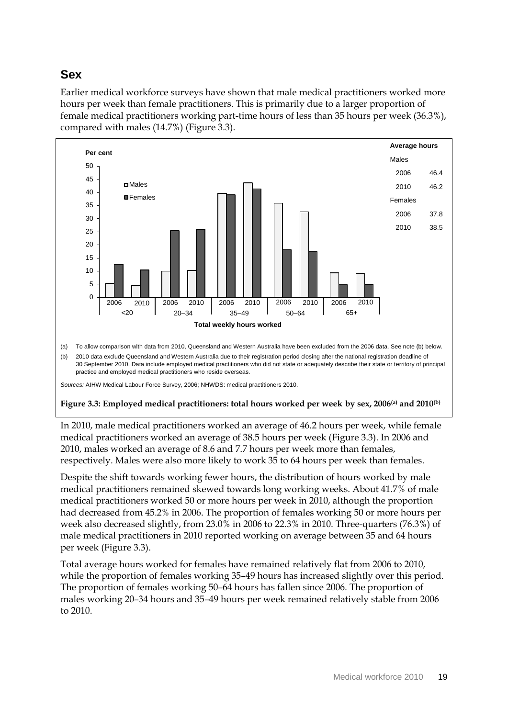### **Sex**

Earlier medical workforce surveys have shown that male medical practitioners worked more hours per week than female practitioners. This is primarily due to a larger proportion of female medical practitioners working part-time hours of less than 35 hours per week (36.3%), compared with males (14.7%) (Figure 3.3).



<span id="page-24-0"></span>In 2010, male medical practitioners worked an average of 46.2 hours per week, while female medical practitioners worked an average of 38.5 hours per week (Figure 3.3). In 2006 and 2010, males worked an average of 8.6 and 7.7 hours per week more than females, respectively. Males were also more likely to work 35 to 64 hours per week than females.

Despite the shift towards working fewer hours, the distribution of hours worked by male medical practitioners remained skewed towards long working weeks. About 41.7% of male medical practitioners worked 50 or more hours per week in 2010, although the proportion had decreased from 45.2% in 2006. The proportion of females working 50 or more hours per week also decreased slightly, from 23.0% in 2006 to 22.3% in 2010. Three-quarters (76.3%) of male medical practitioners in 2010 reported working on average between 35 and 64 hours per week (Figure 3.3).

Total average hours worked for females have remained relatively flat from 2006 to 2010, while the proportion of females working 35–49 hours has increased slightly over this period. The proportion of females working 50–64 hours has fallen since 2006. The proportion of males working 20–34 hours and 35–49 hours per week remained relatively stable from 2006 to 2010.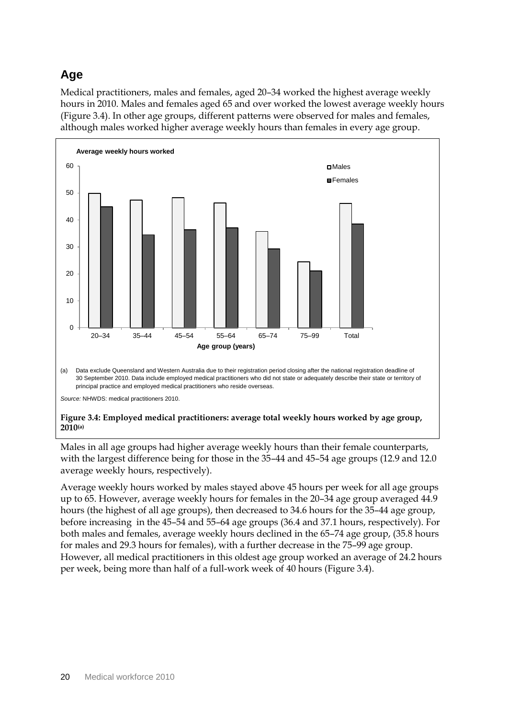## **Age**

Medical practitioners, males and females, aged 20–34 worked the highest average weekly hours in 2010. Males and females aged 65 and over worked the lowest average weekly hours (Figure 3.4). In other age groups, different patterns were observed for males and females, although males worked higher average weekly hours than females in every age group.



#### <span id="page-25-0"></span>**Figure 3.4: Employed medical practitioners: average total weekly hours worked by age group, 2010(a)**

Males in all age groups had higher average weekly hours than their female counterparts, with the largest difference being for those in the 35–44 and 45–54 age groups (12.9 and 12.0 average weekly hours, respectively).

Average weekly hours worked by males stayed above 45 hours per week for all age groups up to 65. However, average weekly hours for females in the 20–34 age group averaged 44.9 hours (the highest of all age groups), then decreased to 34.6 hours for the 35–44 age group, before increasing in the 45–54 and 55–64 age groups (36.4 and 37.1 hours, respectively). For both males and females, average weekly hours declined in the 65–74 age group, (35.8 hours for males and 29.3 hours for females), with a further decrease in the 75–99 age group. However, all medical practitioners in this oldest age group worked an average of 24.2 hours per week, being more than half of a full-work week of 40 hours (Figure 3.4).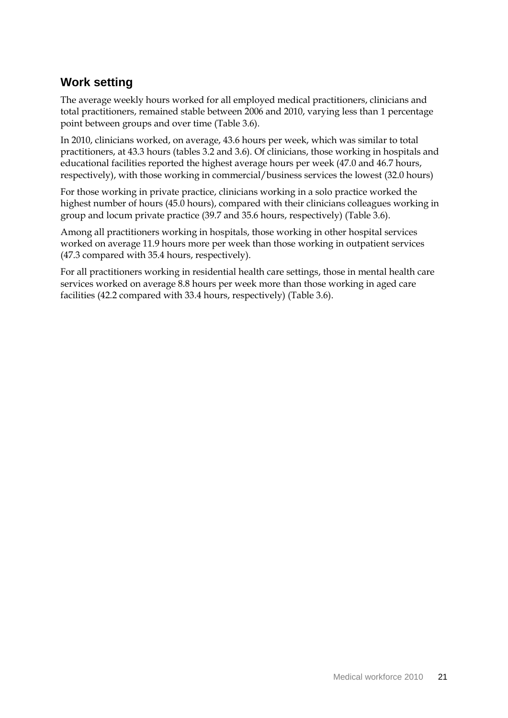### **Work setting**

The average weekly hours worked for all employed medical practitioners, clinicians and total practitioners, remained stable between 2006 and 2010, varying less than 1 percentage point between groups and over time (Table 3.6).

In 2010, clinicians worked, on average, 43.6 hours per week, which was similar to total practitioners, at 43.3 hours (tables 3.2 and 3.6). Of clinicians, those working in hospitals and educational facilities reported the highest average hours per week (47.0 and 46.7 hours, respectively), with those working in commercial/business services the lowest (32.0 hours)

For those working in private practice, clinicians working in a solo practice worked the highest number of hours (45.0 hours), compared with their clinicians colleagues working in group and locum private practice (39.7 and 35.6 hours, respectively) (Table 3.6).

Among all practitioners working in hospitals, those working in other hospital services worked on average 11.9 hours more per week than those working in outpatient services (47.3 compared with 35.4 hours, respectively).

For all practitioners working in residential health care settings, those in mental health care services worked on average 8.8 hours per week more than those working in aged care facilities (42.2 compared with 33.4 hours, respectively) (Table 3.6).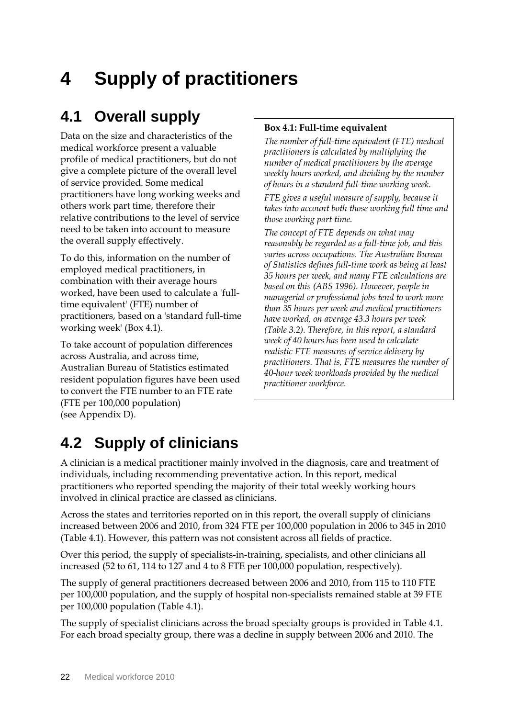# <span id="page-27-0"></span>**4 Supply of practitioners**

## <span id="page-27-1"></span>**4.1 Overall supply**

Data on the size and characteristics of the medical workforce present a valuable profile of medical practitioners, but do not give a complete picture of the overall level of service provided. Some medical practitioners have long working weeks and others work part time, therefore their relative contributions to the level of service need to be taken into account to measure the overall supply effectively.

To do this, information on the number of employed medical practitioners, in combination with their average hours worked, have been used to calculate a 'fulltime equivalent' (FTE) number of practitioners, based on a 'standard full-time working week' (Box 4.1).

To take account of population differences across Australia, and across time, Australian Bureau of Statistics estimated resident population figures have been used to convert the FTE number to an FTE rate (FTE per 100,000 population) (see Appendix D).

#### **Box 4.1: Full-time equivalent**

*The number of full-time equivalent (FTE) medical practitioners is calculated by multiplying the number of medical practitioners by the average weekly hours worked, and dividing by the number of hours in a standard full-time working week.*

*FTE gives a useful measure of supply, because it takes into account both those working full time and those working part time.*

*The concept of FTE depends on what may reasonably be regarded as a full-time job, and this varies across occupations. The Australian Bureau of Statistics defines full-time work as being at least 35 hours per week, and many FTE calculations are based on this (ABS 1996). However, people in managerial or professional jobs tend to work more than 35 hours per week and medical practitioners have worked, on average 43.3 hours per week (Table 3.2). Therefore, in this report, a standard week of 40 hours has been used to calculate realistic FTE measures of service delivery by practitioners. That is, FTE measures the number of 40-hour week workloads provided by the medical practitioner workforce.*

## <span id="page-27-2"></span>**4.2 Supply of clinicians**

A clinician is a medical practitioner mainly involved in the diagnosis, care and treatment of individuals, including recommending preventative action. In this report, medical practitioners who reported spending the majority of their total weekly working hours involved in clinical practice are classed as clinicians.

Across the states and territories reported on in this report, the overall supply of clinicians increased between 2006 and 2010, from 324 FTE per 100,000 population in 2006 to 345 in 2010 (Table 4.1). However, this pattern was not consistent across all fields of practice.

Over this period, the supply of specialists-in-training, specialists, and other clinicians all increased (52 to 61, 114 to 127 and 4 to 8 FTE per 100,000 population, respectively).

The supply of general practitioners decreased between 2006 and 2010, from 115 to 110 FTE per 100,000 population, and the supply of hospital non-specialists remained stable at 39 FTE per 100,000 population (Table 4.1).

The supply of specialist clinicians across the broad specialty groups is provided in Table 4.1. For each broad specialty group, there was a decline in supply between 2006 and 2010. The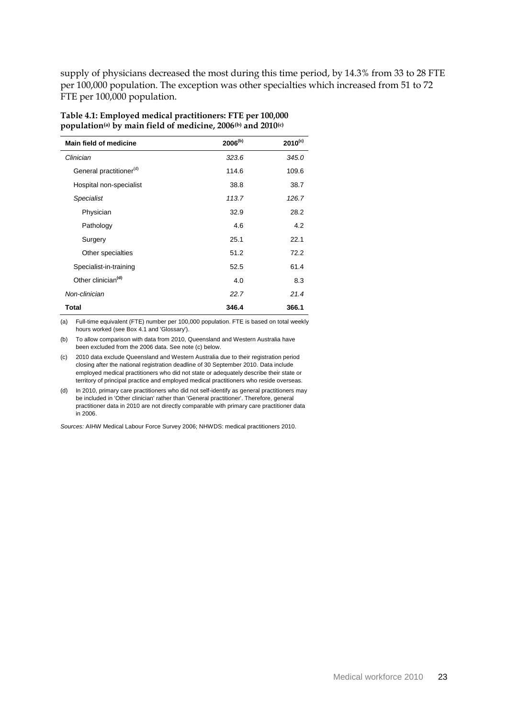supply of physicians decreased the most during this time period, by 14.3% from 33 to 28 FTE per 100,000 population. The exception was other specialties which increased from 51 to 72 FTE per 100,000 population.

| <b>Main field of medicine</b>       | $2006^{(b)}$ | $2010^{(c)}$ |
|-------------------------------------|--------------|--------------|
| Clinician                           | 323.6        | 345.0        |
| General practitioner <sup>(d)</sup> | 114.6        | 109.6        |
| Hospital non-specialist             | 38.8         | 38.7         |
| <b>Specialist</b>                   | 113.7        | 126.7        |
| Physician                           | 32.9         | 28.2         |
| Pathology                           | 4.6          | 4.2          |
| Surgery                             | 25.1         | 22.1         |
| Other specialties                   | 51.2         | 72.2         |
| Specialist-in-training              | 52.5         | 61.4         |
| Other clinician <sup>(d)</sup>      | 4.0          | 8.3          |
| Non-clinician                       | 22.7         | 21.4         |
| Total                               | 346.4        | 366.1        |

#### <span id="page-28-0"></span>**Table 4.1: Employed medical practitioners: FTE per 100,000 population(a) by main field of medicine, 2006(b) and 2010(c)**

(a) Full-time equivalent (FTE) number per 100,000 population. FTE is based on total weekly hours worked (see Box 4.1 and 'Glossary').

(b) To allow comparison with data from 2010, Queensland and Western Australia have been excluded from the 2006 data. See note (c) below.

(c) 2010 data exclude Queensland and Western Australia due to their registration period closing after the national registration deadline of 30 September 2010. Data include employed medical practitioners who did not state or adequately describe their state or territory of principal practice and employed medical practitioners who reside overseas.

(d) In 2010, primary care practitioners who did not self-identify as general practitioners may be included in 'Other clinician' rather than 'General practitioner'. Therefore, general practitioner data in 2010 are not directly comparable with primary care practitioner data in 2006.

*Sources:* AIHW Medical Labour Force Survey 2006; NHWDS: medical practitioners 2010.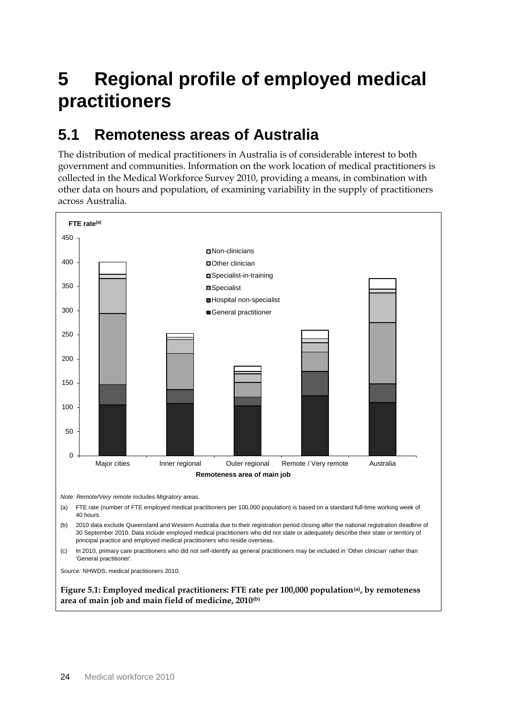# <span id="page-29-0"></span>**5 Regional profile of employed medical practitioners**

## <span id="page-29-1"></span>**5.1 Remoteness areas of Australia**

The distribution of medical practitioners in Australia is of considerable interest to both government and communities. Information on the work location of medical practitioners is collected in the Medical Workforce Survey 2010, providing a means, in combination with other data on hours and population, of examining variability in the supply of practitioners across Australia.



<span id="page-29-2"></span>**area of main job and main field of medicine, 2010(b)**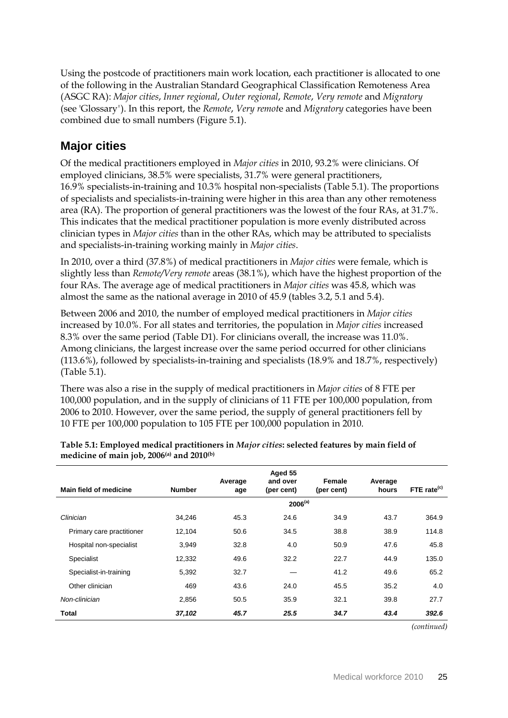Using the postcode of practitioners main work location, each practitioner is allocated to one of the following in the Australian Standard Geographical Classification Remoteness Area (ASGC RA): *Major cities*, *Inner regional*, *Outer regional*, *Remote*, *Very remote* and *Migratory* (see 'Glossary*'*). In this report, the *Remote*, *Very remot*e and *Migratory* categories have been combined due to small numbers (Figure 5.1).

### **Major cities**

Of the medical practitioners employed in *Major cities* in 2010, 93.2% were clinicians. Of employed clinicians, 38.5% were specialists, 31.7% were general practitioners, 16.9% specialists-in-training and 10.3% hospital non-specialists (Table 5.1). The proportions of specialists and specialists-in-training were higher in this area than any other remoteness area (RA). The proportion of general practitioners was the lowest of the four RAs, at 31.7%. This indicates that the medical practitioner population is more evenly distributed across clinician types in *Major cities* than in the other RAs, which may be attributed to specialists and specialists-in-training working mainly in *Major cities*.

In 2010, over a third (37.8%) of medical practitioners in *Major cities* were female, which is slightly less than *Remote/Very remote* areas (38.1%), which have the highest proportion of the four RAs. The average age of medical practitioners in *Major cities* was 45.8, which was almost the same as the national average in 2010 of 45.9 (tables 3.2, 5.1 and 5.4).

Between 2006 and 2010, the number of employed medical practitioners in *Major cities* increased by 10.0%. For all states and territories, the population in *Major cities* increased 8.3% over the same period (Table D1). For clinicians overall, the increase was 11.0%. Among clinicians, the largest increase over the same period occurred for other clinicians (113.6%), followed by specialists-in-training and specialists (18.9% and 18.7%, respectively) (Table 5.1).

There was also a rise in the supply of medical practitioners in *Major cities* of 8 FTE per 100,000 population, and in the supply of clinicians of 11 FTE per 100,000 population, from 2006 to 2010. However, over the same period, the supply of general practitioners fell by 10 FTE per 100,000 population to 105 FTE per 100,000 population in 2010.

|                           |               | Average | Aged 55<br>and over | Female     | Average |                |
|---------------------------|---------------|---------|---------------------|------------|---------|----------------|
| Main field of medicine    | <b>Number</b> | age     | (per cent)          | (per cent) | hours   | FTE rate $(c)$ |
|                           |               |         | $2006^{(a)}$        |            |         |                |
| Clinician                 | 34,246        | 45.3    | 24.6                | 34.9       | 43.7    | 364.9          |
| Primary care practitioner | 12,104        | 50.6    | 34.5                | 38.8       | 38.9    | 114.8          |
| Hospital non-specialist   | 3,949         | 32.8    | 4.0                 | 50.9       | 47.6    | 45.8           |
| Specialist                | 12,332        | 49.6    | 32.2                | 22.7       | 44.9    | 135.0          |
| Specialist-in-training    | 5,392         | 32.7    |                     | 41.2       | 49.6    | 65.2           |
| Other clinician           | 469           | 43.6    | 24.0                | 45.5       | 35.2    | 4.0            |
| Non-clinician             | 2,856         | 50.5    | 35.9                | 32.1       | 39.8    | 27.7           |
| Total                     | 37,102        | 45.7    | 25.5                | 34.7       | 43.4    | 392.6          |

<span id="page-30-0"></span>**Table 5.1: Employed medical practitioners in** *Major cities***: selected features by main field of medicine of main job, 2006(a) and 2010(b)**

*(continued)*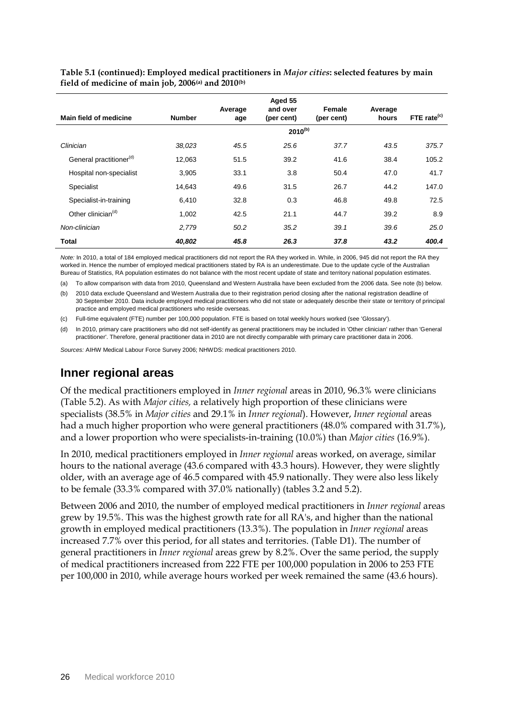**Table 5.1 (continued): Employed medical practitioners in** *Major cities***: selected features by main field of medicine of main job, 2006(a) and 2010(b)**

|                                     |               |                | Aged 55<br>and over | Female     |                  |                         |
|-------------------------------------|---------------|----------------|---------------------|------------|------------------|-------------------------|
| Main field of medicine              | <b>Number</b> | Average<br>age | (per cent)          | (per cent) | Average<br>hours | FTE rate <sup>(c)</sup> |
|                                     |               |                | $2010^{(b)}$        |            |                  |                         |
| Clinician                           | 38,023        | 45.5           | 25.6                | 37.7       | 43.5             | 375.7                   |
| General practitioner <sup>(d)</sup> | 12,063        | 51.5           | 39.2                | 41.6       | 38.4             | 105.2                   |
| Hospital non-specialist             | 3,905         | 33.1           | 3.8                 | 50.4       | 47.0             | 41.7                    |
| Specialist                          | 14.643        | 49.6           | 31.5                | 26.7       | 44.2             | 147.0                   |
| Specialist-in-training              | 6,410         | 32.8           | 0.3                 | 46.8       | 49.8             | 72.5                    |
| Other clinician <sup>(d)</sup>      | 1,002         | 42.5           | 21.1                | 44.7       | 39.2             | 8.9                     |
| Non-clinician                       | 2,779         | 50.2           | 35.2                | 39.1       | 39.6             | 25.0                    |
| Total                               | 40,802        | 45.8           | 26.3                | 37.8       | 43.2             | 400.4                   |

*Note:* In 2010, a total of 184 employed medical practitioners did not report the RA they worked in. While, in 2006, 945 did not report the RA they worked in. Hence the number of employed medical practitioners stated by RA is an underestimate. Due to the update cycle of the Australian Bureau of Statistics, RA population estimates do not balance with the most recent update of state and territory national population estimates.

(a) To allow comparison with data from 2010, Queensland and Western Australia have been excluded from the 2006 data. See note (b) below.

(b) 2010 data exclude Queensland and Western Australia due to their registration period closing after the national registration deadline of 30 September 2010. Data include employed medical practitioners who did not state or adequately describe their state or territory of principal practice and employed medical practitioners who reside overseas.

(c) Full-time equivalent (FTE) number per 100,000 population. FTE is based on total weekly hours worked (see 'Glossary').

(d) In 2010, primary care practitioners who did not self-identify as general practitioners may be included in 'Other clinician' rather than 'General practitioner'. Therefore, general practitioner data in 2010 are not directly comparable with primary care practitioner data in 2006.

*Sources:* AIHW Medical Labour Force Survey 2006; NHWDS: medical practitioners 2010.

#### **Inner regional areas**

Of the medical practitioners employed in *Inner regional* areas in 2010, 96.3% were clinicians (Table 5.2). As with *Major cities,* a relatively high proportion of these clinicians were specialists (38.5% in *Major cities* and 29.1% in *Inner regional*). However, *Inner regional* areas had a much higher proportion who were general practitioners (48.0% compared with 31.7%), and a lower proportion who were specialists-in-training (10.0%) than *Major cities* (16.9%).

In 2010, medical practitioners employed in *Inner regional* areas worked, on average, similar hours to the national average (43.6 compared with 43.3 hours). However, they were slightly older, with an average age of 46.5 compared with 45.9 nationally. They were also less likely to be female (33.3% compared with 37.0% nationally) (tables 3.2 and 5.2).

<span id="page-31-0"></span>Between 2006 and 2010, the number of employed medical practitioners in *Inner regional* areas grew by 19.5%. This was the highest growth rate for all RA's, and higher than the national growth in employed medical practitioners (13.3%). The population in *Inner regional* areas increased 7.7% over this period, for all states and territories. (Table D1). The number of general practitioners in *Inner regional* areas grew by 8.2%. Over the same period, the supply of medical practitioners increased from 222 FTE per 100,000 population in 2006 to 253 FTE per 100,000 in 2010, while average hours worked per week remained the same (43.6 hours).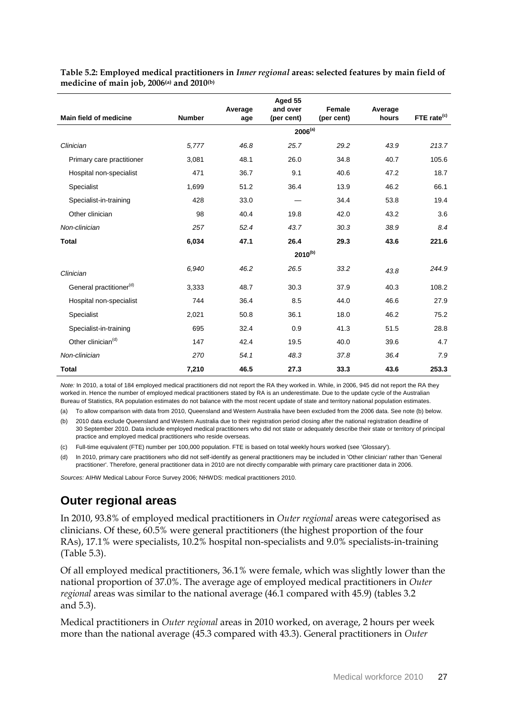|                                     |               |                | Aged 55<br>and over |                      |                  |                         |  |  |  |  |
|-------------------------------------|---------------|----------------|---------------------|----------------------|------------------|-------------------------|--|--|--|--|
| Main field of medicine              | <b>Number</b> | Average<br>age | (per cent)          | Female<br>(per cent) | Average<br>hours | FTE rate <sup>(c)</sup> |  |  |  |  |
|                                     |               | $2006^{(a)}$   |                     |                      |                  |                         |  |  |  |  |
| Clinician                           | 5.777         | 46.8           | 25.7                | 29.2                 | 43.9             | 213.7                   |  |  |  |  |
| Primary care practitioner           | 3,081         | 48.1           | 26.0                | 34.8                 | 40.7             | 105.6                   |  |  |  |  |
| Hospital non-specialist             | 471           | 36.7           | 9.1                 | 40.6                 | 47.2             | 18.7                    |  |  |  |  |
| Specialist                          | 1,699         | 51.2           | 36.4                | 13.9                 | 46.2             | 66.1                    |  |  |  |  |
| Specialist-in-training              | 428           | 33.0           |                     | 34.4                 | 53.8             | 19.4                    |  |  |  |  |
| Other clinician                     | 98            | 40.4           | 19.8                | 42.0                 | 43.2             | 3.6                     |  |  |  |  |
| Non-clinician                       | 257           | 52.4           | 43.7                | 30.3                 | 38.9             | 8.4                     |  |  |  |  |
| <b>Total</b>                        | 6,034         | 47.1           | 26.4                | 29.3                 | 43.6             | 221.6                   |  |  |  |  |
|                                     |               |                | $2010^{(b)}$        |                      |                  |                         |  |  |  |  |
| Clinician                           | 6,940         | 46.2           | 26.5                | 33.2                 | 43.8             | 244.9                   |  |  |  |  |
| General practitioner <sup>(d)</sup> | 3,333         | 48.7           | 30.3                | 37.9                 | 40.3             | 108.2                   |  |  |  |  |
| Hospital non-specialist             | 744           | 36.4           | 8.5                 | 44.0                 | 46.6             | 27.9                    |  |  |  |  |
| Specialist                          | 2,021         | 50.8           | 36.1                | 18.0                 | 46.2             | 75.2                    |  |  |  |  |
| Specialist-in-training              | 695           | 32.4           | 0.9                 | 41.3                 | 51.5             | 28.8                    |  |  |  |  |
| Other clinician <sup>(d)</sup>      | 147           | 42.4           | 19.5                | 40.0                 | 39.6             | 4.7                     |  |  |  |  |
| Non-clinician                       | 270           | 54.1           | 48.3                | 37.8                 | 36.4             | 7.9                     |  |  |  |  |
| <b>Total</b>                        | 7,210         | 46.5           | 27.3                | 33.3                 | 43.6             | 253.3                   |  |  |  |  |

**Table 5.2: Employed medical practitioners in** *Inner regional* **areas: selected features by main field of medicine of main job, 2006(a) and 2010(b)**

*Note:* In 2010, a total of 184 employed medical practitioners did not report the RA they worked in. While, in 2006, 945 did not report the RA they worked in. Hence the number of employed medical practitioners stated by RA is an underestimate. Due to the update cycle of the Australian Bureau of Statistics, RA population estimates do not balance with the most recent update of state and territory national population estimates.

(a) To allow comparison with data from 2010, Queensland and Western Australia have been excluded from the 2006 data. See note (b) below.

(b) 2010 data exclude Queensland and Western Australia due to their registration period closing after the national registration deadline of 30 September 2010. Data include employed medical practitioners who did not state or adequately describe their state or territory of principal practice and employed medical practitioners who reside overseas.

(c) Full-time equivalent (FTE) number per 100,000 population. FTE is based on total weekly hours worked (see 'Glossary').

(d) In 2010, primary care practitioners who did not self-identify as general practitioners may be included in 'Other clinician' rather than 'General practitioner'. Therefore, general practitioner data in 2010 are not directly comparable with primary care practitioner data in 2006.

*Sources:* AIHW Medical Labour Force Survey 2006; NHWDS: medical practitioners 2010.

## **Outer regional areas**

In 2010, 93.8% of employed medical practitioners in *Outer regional* areas were categorised as clinicians. Of these, 60.5% were general practitioners (the highest proportion of the four RAs), 17.1% were specialists, 10.2% hospital non-specialists and 9.0% specialists-in-training (Table 5.3).

Of all employed medical practitioners, 36.1% were female, which was slightly lower than the national proportion of 37.0%. The average age of employed medical practitioners in *Outer regional* areas was similar to the national average (46.1 compared with 45.9) (tables 3.2 and 5.3).

Medical practitioners in *Outer regional* areas in 2010 worked, on average, 2 hours per week more than the national average (45.3 compared with 43.3). General practitioners in *Outer*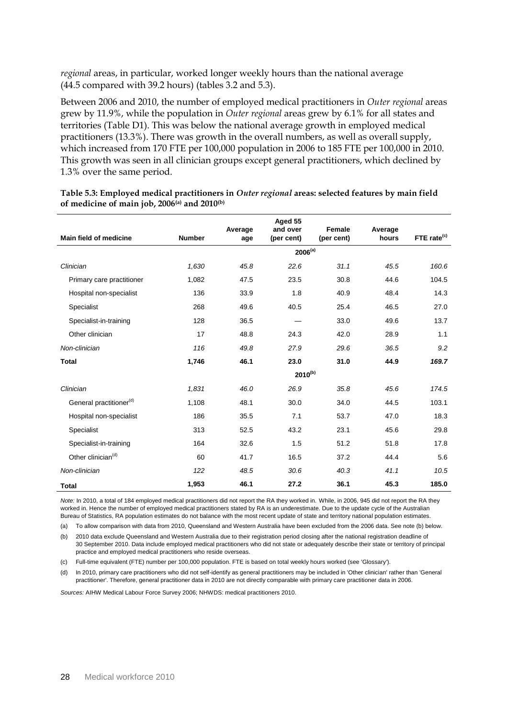*regional* areas, in particular, worked longer weekly hours than the national average (44.5 compared with 39.2 hours) (tables 3.2 and 5.3).

Between 2006 and 2010, the number of employed medical practitioners in *Outer regional* areas grew by 11.9%, while the population in *Outer regional* areas grew by 6.1% for all states and territories (Table D1). This was below the national average growth in employed medical practitioners (13.3%). There was growth in the overall numbers, as well as overall supply, which increased from 170 FTE per 100,000 population in 2006 to 185 FTE per 100,000 in 2010. This growth was seen in all clinician groups except general practitioners, which declined by 1.3% over the same period.

|                                     |               | Average | Aged 55<br>and over | Female     | Average |                         |
|-------------------------------------|---------------|---------|---------------------|------------|---------|-------------------------|
| Main field of medicine              | <b>Number</b> | age     | (per cent)          | (per cent) | hours   | FTE rate <sup>(c)</sup> |
|                                     |               |         | $2006^{(a)}$        |            |         |                         |
| Clinician                           | 1,630         | 45.8    | 22.6                | 31.1       | 45.5    | 160.6                   |
| Primary care practitioner           | 1,082         | 47.5    | 23.5                | 30.8       | 44.6    | 104.5                   |
| Hospital non-specialist             | 136           | 33.9    | 1.8                 | 40.9       | 48.4    | 14.3                    |
| Specialist                          | 268           | 49.6    | 40.5                | 25.4       | 46.5    | 27.0                    |
| Specialist-in-training              | 128           | 36.5    |                     | 33.0       | 49.6    | 13.7                    |
| Other clinician                     | 17            | 48.8    | 24.3                | 42.0       | 28.9    | 1.1                     |
| Non-clinician                       | 116           | 49.8    | 27.9                | 29.6       | 36.5    | 9.2                     |
| <b>Total</b>                        | 1,746         | 46.1    | 23.0                | 31.0       | 44.9    | 169.7                   |
|                                     |               |         | $2010^{(b)}$        |            |         |                         |
| Clinician                           | 1,831         | 46.0    | 26.9                | 35.8       | 45.6    | 174.5                   |
| General practitioner <sup>(d)</sup> | 1,108         | 48.1    | 30.0                | 34.0       | 44.5    | 103.1                   |
| Hospital non-specialist             | 186           | 35.5    | 7.1                 | 53.7       | 47.0    | 18.3                    |
| Specialist                          | 313           | 52.5    | 43.2                | 23.1       | 45.6    | 29.8                    |
| Specialist-in-training              | 164           | 32.6    | 1.5                 | 51.2       | 51.8    | 17.8                    |
| Other clinician <sup>(d)</sup>      | 60            | 41.7    | 16.5                | 37.2       | 44.4    | 5.6                     |
| Non-clinician                       | 122           | 48.5    | 30.6                | 40.3       | 41.1    | 10.5                    |
| Total                               | 1,953         | 46.1    | 27.2                | 36.1       | 45.3    | 185.0                   |

#### <span id="page-33-0"></span>**Table 5.3: Employed medical practitioners in** *Outer regional* **areas: selected features by main field of medicine of main job, 2006(a) and 2010(b)**

*Note:* In 2010, a total of 184 employed medical practitioners did not report the RA they worked in. While, in 2006, 945 did not report the RA they worked in. Hence the number of employed medical practitioners stated by RA is an underestimate. Due to the update cycle of the Australian Bureau of Statistics, RA population estimates do not balance with the most recent update of state and territory national population estimates.

(a) To allow comparison with data from 2010, Queensland and Western Australia have been excluded from the 2006 data. See note (b) below.

(b) 2010 data exclude Queensland and Western Australia due to their registration period closing after the national registration deadline of 30 September 2010. Data include employed medical practitioners who did not state or adequately describe their state or territory of principal practice and employed medical practitioners who reside overseas.

(c) Full-time equivalent (FTE) number per 100,000 population. FTE is based on total weekly hours worked (see 'Glossary*'*).

(d) In 2010, primary care practitioners who did not self-identify as general practitioners may be included in 'Other clinician' rather than 'General practitioner'. Therefore, general practitioner data in 2010 are not directly comparable with primary care practitioner data in 2006.

*Sources:* AIHW Medical Labour Force Survey 2006; NHWDS: medical practitioners 2010.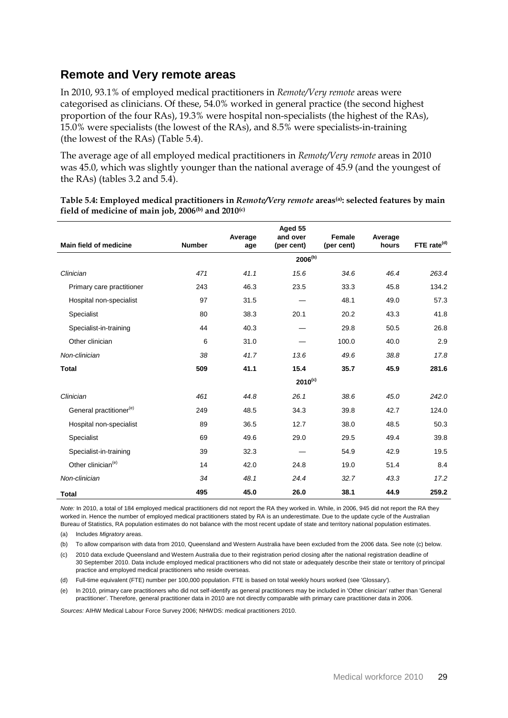### **Remote and Very remote areas**

In 2010, 93.1% of employed medical practitioners in *Remote/Very remote* areas were categorised as clinicians. Of these, 54.0% worked in general practice (the second highest proportion of the four RAs), 19.3% were hospital non-specialists (the highest of the RAs), 15.0% were specialists (the lowest of the RAs), and 8.5% were specialists-in-training (the lowest of the RAs) (Table 5.4).

The average age of all employed medical practitioners in *Remote/Very remote* areas in 2010 was 45.0, which was slightly younger than the national average of 45.9 (and the youngest of the RAs) (tables 3.2 and 5.4).

|                                     |               | Average | Aged 55<br>and over | Female     | Average |                         |
|-------------------------------------|---------------|---------|---------------------|------------|---------|-------------------------|
| Main field of medicine              | <b>Number</b> | age     | (per cent)          | (per cent) | hours   | FTE rate <sup>(d)</sup> |
|                                     |               |         | $2006^{(b)}$        |            |         |                         |
| Clinician                           | 471           | 41.1    | 15.6                | 34.6       | 46.4    | 263.4                   |
| Primary care practitioner           | 243           | 46.3    | 23.5                | 33.3       | 45.8    | 134.2                   |
| Hospital non-specialist             | 97            | 31.5    |                     | 48.1       | 49.0    | 57.3                    |
| Specialist                          | 80            | 38.3    | 20.1                | 20.2       | 43.3    | 41.8                    |
| Specialist-in-training              | 44            | 40.3    |                     | 29.8       | 50.5    | 26.8                    |
| Other clinician                     | 6             | 31.0    |                     | 100.0      | 40.0    | 2.9                     |
| Non-clinician                       | 38            | 41.7    | 13.6                | 49.6       | 38.8    | 17.8                    |
| <b>Total</b>                        | 509           | 41.1    | 15.4                | 35.7       | 45.9    | 281.6                   |
|                                     |               |         | $2010^{(c)}$        |            |         |                         |
| Clinician                           | 461           | 44.8    | 26.1                | 38.6       | 45.0    | 242.0                   |
| General practitioner <sup>(e)</sup> | 249           | 48.5    | 34.3                | 39.8       | 42.7    | 124.0                   |
| Hospital non-specialist             | 89            | 36.5    | 12.7                | 38.0       | 48.5    | 50.3                    |
| Specialist                          | 69            | 49.6    | 29.0                | 29.5       | 49.4    | 39.8                    |
| Specialist-in-training              | 39            | 32.3    |                     | 54.9       | 42.9    | 19.5                    |
| Other clinician <sup>(e)</sup>      | 14            | 42.0    | 24.8                | 19.0       | 51.4    | 8.4                     |
| Non-clinician                       | 34            | 48.1    | 24.4                | 32.7       | 43.3    | 17.2                    |
| <b>Total</b>                        | 495           | 45.0    | 26.0                | 38.1       | 44.9    | 259.2                   |

<span id="page-34-0"></span>**Table 5.4: Employed medical practitioners in** *Remote/Very remote* **areas(a): selected features by main field of medicine of main job, 2006(b) and 2010(c)**

*Note:* In 2010, a total of 184 employed medical practitioners did not report the RA they worked in. While, in 2006, 945 did not report the RA they worked in. Hence the number of employed medical practitioners stated by RA is an underestimate. Due to the update cycle of the Australian Bureau of Statistics, RA population estimates do not balance with the most recent update of state and territory national population estimates.

(a) Includes *Migratory* areas.

(b) To allow comparison with data from 2010, Queensland and Western Australia have been excluded from the 2006 data. See note (c) below.

(c) 2010 data exclude Queensland and Western Australia due to their registration period closing after the national registration deadline of 30 September 2010. Data include employed medical practitioners who did not state or adequately describe their state or territory of principal practice and employed medical practitioners who reside overseas.

(d) Full-time equivalent (FTE) number per 100,000 population. FTE is based on total weekly hours worked (see 'Glossary*'*).

(e) In 2010, primary care practitioners who did not self-identify as general practitioners may be included in 'Other clinician' rather than 'General practitioner'. Therefore, general practitioner data in 2010 are not directly comparable with primary care practitioner data in 2006.

*Sources:* AIHW Medical Labour Force Survey 2006; NHWDS: medical practitioners 2010.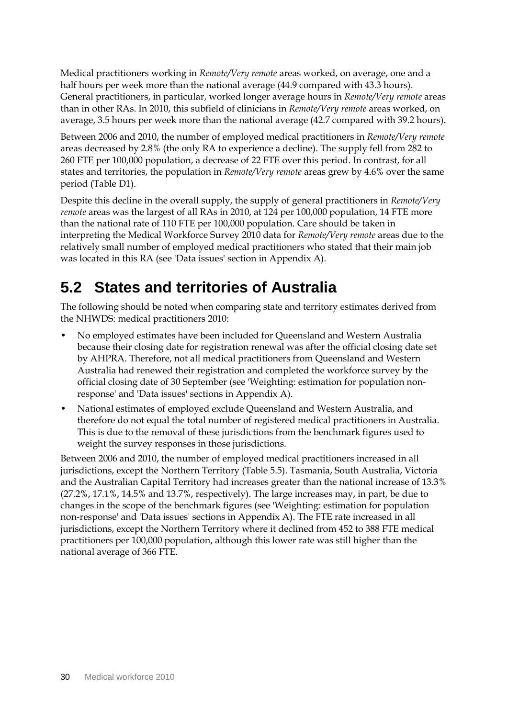Medical practitioners working in *Remote/Very remote* areas worked, on average, one and a half hours per week more than the national average (44.9 compared with 43.3 hours). General practitioners, in particular, worked longer average hours in *Remote/Very remote* areas than in other RAs. In 2010, this subfield of clinicians in *Remote/Very remote* areas worked, on average, 3.5 hours per week more than the national average (42.7 compared with 39.2 hours).

Between 2006 and 2010, the number of employed medical practitioners in *Remote/Very remote*  areas decreased by 2.8% (the only RA to experience a decline). The supply fell from 282 to 260 FTE per 100,000 population, a decrease of 22 FTE over this period. In contrast, for all states and territories, the population in *Remote/Very remote* areas grew by 4.6% over the same period (Table D1).

Despite this decline in the overall supply, the supply of general practitioners in *Remote/Very remote* areas was the largest of all RAs in 2010, at 124 per 100,000 population, 14 FTE more than the national rate of 110 FTE per 100,000 population. Care should be taken in interpreting the Medical Workforce Survey 2010 data for *Remote/Very remote* areas due to the relatively small number of employed medical practitioners who stated that their main job was located in this RA (see 'Data issues' section in Appendix A).

## <span id="page-35-0"></span>**5.2 States and territories of Australia**

The following should be noted when comparing state and territory estimates derived from the NHWDS: medical practitioners 2010:

- No employed estimates have been included for Queensland and Western Australia because their closing date for registration renewal was after the official closing date set by AHPRA. Therefore, not all medical practitioners from Queensland and Western Australia had renewed their registration and completed the workforce survey by the official closing date of 30 September (see 'Weighting: estimation for population nonresponse' and 'Data issues' sections in Appendix A).
- National estimates of employed exclude Queensland and Western Australia, and therefore do not equal the total number of registered medical practitioners in Australia. This is due to the removal of these jurisdictions from the benchmark figures used to weight the survey responses in those jurisdictions.

Between 2006 and 2010, the number of employed medical practitioners increased in all jurisdictions, except the Northern Territory (Table 5.5). Tasmania, South Australia, Victoria and the Australian Capital Territory had increases greater than the national increase of 13.3% (27.2%, 17.1%, 14.5% and 13.7%, respectively). The large increases may, in part, be due to changes in the scope of the benchmark figures (see 'Weighting: estimation for population non-response' and 'Data issues' sections in Appendix A). The FTE rate increased in all jurisdictions, except the Northern Territory where it declined from 452 to 388 FTE medical practitioners per 100,000 population, although this lower rate was still higher than the national average of 366 FTE.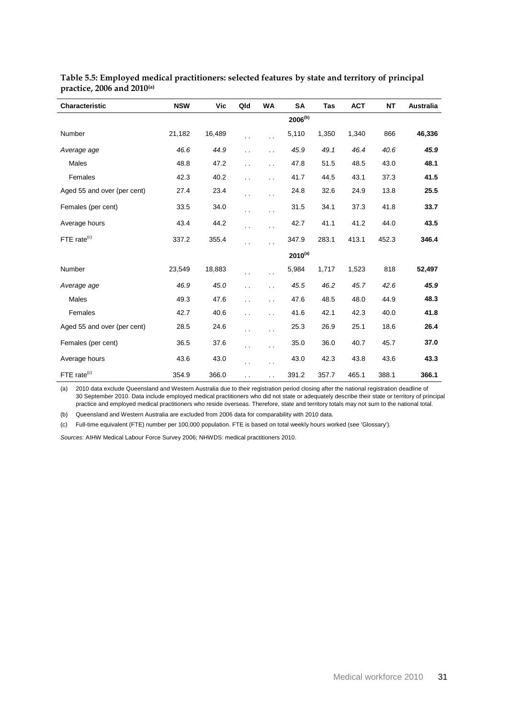| <b>Characteristic</b>       | <b>NSW</b> | Vic    | Qld                  | <b>WA</b>            | <b>SA</b>    | <b>Tas</b> | <b>ACT</b> | <b>NT</b> | <b>Australia</b> |
|-----------------------------|------------|--------|----------------------|----------------------|--------------|------------|------------|-----------|------------------|
|                             |            |        |                      |                      | $2006^{(b)}$ |            |            |           |                  |
| Number                      | 21,182     | 16,489 | . .                  | $\ddot{\phantom{0}}$ | 5,110        | 1,350      | 1,340      | 866       | 46,336           |
| Average age                 | 46.6       | 44.9   | $\ddot{\phantom{0}}$ | $\ddot{\phantom{0}}$ | 45.9         | 49.1       | 46.4       | 40.6      | 45.9             |
| Males                       | 48.8       | 47.2   | . .                  | $\ddot{\phantom{0}}$ | 47.8         | 51.5       | 48.5       | 43.0      | 48.1             |
| Females                     | 42.3       | 40.2   | . .                  | $\ddot{\phantom{0}}$ | 41.7         | 44.5       | 43.1       | 37.3      | 41.5             |
| Aged 55 and over (per cent) | 27.4       | 23.4   | . .                  | $\ddot{\phantom{1}}$ | 24.8         | 32.6       | 24.9       | 13.8      | 25.5             |
| Females (per cent)          | 33.5       | 34.0   | . .                  | $\ddot{\phantom{0}}$ | 31.5         | 34.1       | 37.3       | 41.8      | 33.7             |
| Average hours               | 43.4       | 44.2   | . .                  | $\ddot{\phantom{1}}$ | 42.7         | 41.1       | 41.2       | 44.0      | 43.5             |
| FTE rate <sup>(c)</sup>     | 337.2      | 355.4  | . .                  | $\ddot{\phantom{a}}$ | 347.9        | 283.1      | 413.1      | 452.3     | 346.4            |
|                             |            |        |                      |                      | $2010^{(a)}$ |            |            |           |                  |
| Number                      | 23,549     | 18,883 | . .                  | $\ddot{\phantom{0}}$ | 5,984        | 1,717      | 1,523      | 818       | 52,497           |
| Average age                 | 46.9       | 45.0   | $\ddot{\phantom{0}}$ | $\ddotsc$            | 45.5         | 46.2       | 45.7       | 42.6      | 45.9             |
| <b>Males</b>                | 49.3       | 47.6   | $\ddot{\phantom{0}}$ | $\ddot{\phantom{0}}$ | 47.6         | 48.5       | 48.0       | 44.9      | 48.3             |
| Females                     | 42.7       | 40.6   | . .                  | $\ddot{\phantom{0}}$ | 41.6         | 42.1       | 42.3       | 40.0      | 41.8             |
| Aged 55 and over (per cent) | 28.5       | 24.6   | $\ddot{\phantom{0}}$ | $\ddot{\phantom{0}}$ | 25.3         | 26.9       | 25.1       | 18.6      | 26.4             |
| Females (per cent)          | 36.5       | 37.6   | . .                  | $\ddot{\phantom{0}}$ | 35.0         | 36.0       | 40.7       | 45.7      | 37.0             |
| Average hours               | 43.6       | 43.0   | . .                  | $\ddot{\phantom{0}}$ | 43.0         | 42.3       | 43.8       | 43.6      | 43.3             |
| FTE rate <sup>(c)</sup>     | 354.9      | 366.0  | $\ddot{\phantom{0}}$ | $\ddot{\phantom{0}}$ | 391.2        | 357.7      | 465.1      | 388.1     | 366.1            |

#### <span id="page-36-0"></span>**Table 5.5: Employed medical practitioners: selected features by state and territory of principal practice, 2006 and 2010(a)**

(a) 2010 data exclude Queensland and Western Australia due to their registration period closing after the national registration deadline of 30 September 2010. Data include employed medical practitioners who did not state or adequately describe their state or territory of principal practice and employed medical practitioners who reside overseas. Therefore, state and territory totals may not sum to the national total.

(b) Queensland and Western Australia are excluded from 2006 data for comparability with 2010 data.

(c) Full-time equivalent (FTE) number per 100,000 population. FTE is based on total weekly hours worked (see 'Glossary').

*Sources:* AIHW Medical Labour Force Survey 2006; NHWDS: medical practitioners 2010.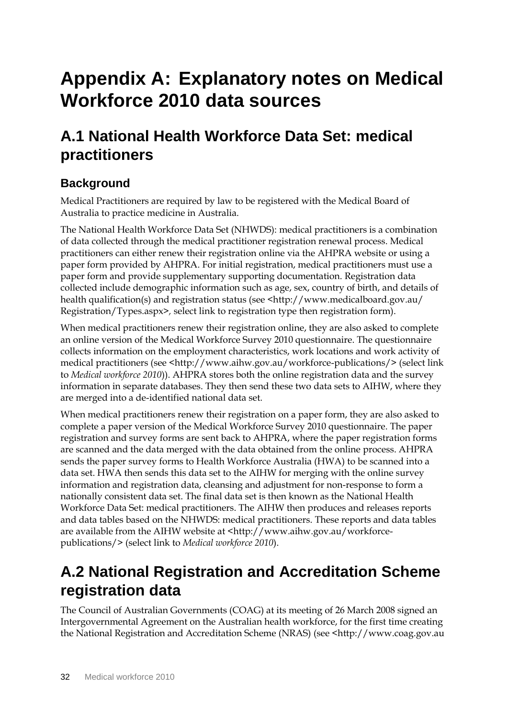# <span id="page-37-0"></span>**Appendix A: Explanatory notes on Medical Workforce 2010 data sources**

## **A.1 National Health Workforce Data Set: medical practitioners**

## **Background**

Medical Practitioners are required by law to be registered with the Medical Board of Australia to practice medicine in Australia.

The National Health Workforce Data Set (NHWDS): medical practitioners is a combination of data collected through the medical practitioner registration renewal process. Medical practitioners can either renew their registration online via the AHPRA website or using a paper form provided by AHPRA. For initial registration, medical practitioners must use a paper form and provide supplementary supporting documentation. Registration data collected include demographic information such as age, sex, country of birth, and details of health qualification(s) and registration status (see <http://www.medicalboard.gov.au/ Registration/Types.aspx>*,* select link to registration type then registration form).

When medical practitioners renew their registration online, they are also asked to complete an online version of the Medical Workforce Survey 2010 questionnaire. The questionnaire collects information on the employment characteristics, work locations and work activity of medical practitioners (see <http://www.aihw.gov.au/workforce-publications/> (select link to *Medical workforce 2010*)). AHPRA stores both the online registration data and the survey information in separate databases. They then send these two data sets to AIHW, where they are merged into a de-identified national data set.

When medical practitioners renew their registration on a paper form, they are also asked to complete a paper version of the Medical Workforce Survey 2010 questionnaire. The paper registration and survey forms are sent back to AHPRA, where the paper registration forms are scanned and the data merged with the data obtained from the online process. AHPRA sends the paper survey forms to Health Workforce Australia (HWA) to be scanned into a data set. HWA then sends this data set to the AIHW for merging with the online survey information and registration data, cleansing and adjustment for non-response to form a nationally consistent data set. The final data set is then known as the National Health Workforce Data Set: medical practitioners. The AIHW then produces and releases reports and data tables based on the NHWDS: medical practitioners. These reports and data tables are available from the AIHW website at <http://www.aihw.gov.au/workforcepublications/> (select link to *Medical workforce 2010*).

## **A.2 National Registration and Accreditation Scheme registration data**

The Council of Australian Governments (COAG) at its meeting of 26 March 2008 signed an [Intergovernmental Agreement](http://www.coag.gov.au/coag_meeting_outcomes/2008-03-26/docs/iga_health_workforce.rtf) on the Australian health workforce, for the first time creating the National Registration and Accreditation Scheme (NRAS) (see <http://www.coag.gov.au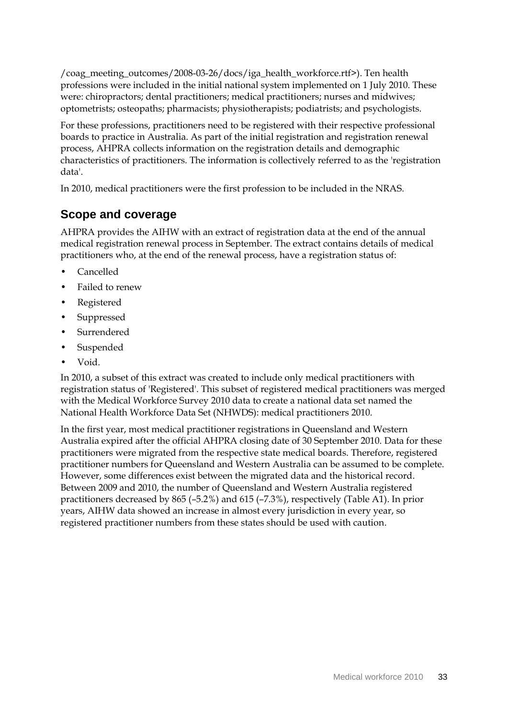/coag\_meeting\_outcomes/2008-03-26/docs/iga\_health\_workforce.rtf>). Ten health professions were included in the initial national system implemented on 1 July 2010. These were: chiropractors; dental practitioners; medical practitioners; nurses and midwives; optometrists; osteopaths; pharmacists; physiotherapists; podiatrists; and psychologists.

For these professions, practitioners need to be registered with their respective professional boards to practice in Australia. As part of the initial registration and registration renewal process, AHPRA collects information on the registration details and demographic characteristics of practitioners. The information is collectively referred to as the 'registration data'.

In 2010, medical practitioners were the first profession to be included in the NRAS.

### **Scope and coverage**

AHPRA provides the AIHW with an extract of registration data at the end of the annual medical registration renewal process in September. The extract contains details of medical practitioners who, at the end of the renewal process, have a registration status of:

- Cancelled
- Failed to renew
- **Registered**
- **Suppressed**
- **Surrendered**
- **Suspended**
- Void.

In 2010, a subset of this extract was created to include only medical practitioners with registration status of 'Registered'. This subset of registered medical practitioners was merged with the Medical Workforce Survey 2010 data to create a national data set named the National Health Workforce Data Set (NHWDS): medical practitioners 2010.

<span id="page-38-0"></span>In the first year, most medical practitioner registrations in Queensland and Western Australia expired after the official AHPRA closing date of 30 September 2010. Data for these practitioners were migrated from the respective state medical boards. Therefore, registered practitioner numbers for Queensland and Western Australia can be assumed to be complete. However, some differences exist between the migrated data and the historical record. Between 2009 and 2010, the number of Queensland and Western Australia registered practitioners decreased by 865 (–5.2%) and 615 (–7.3%), respectively (Table A1). In prior years, AIHW data showed an increase in almost every jurisdiction in every year, so registered practitioner numbers from these states should be used with caution.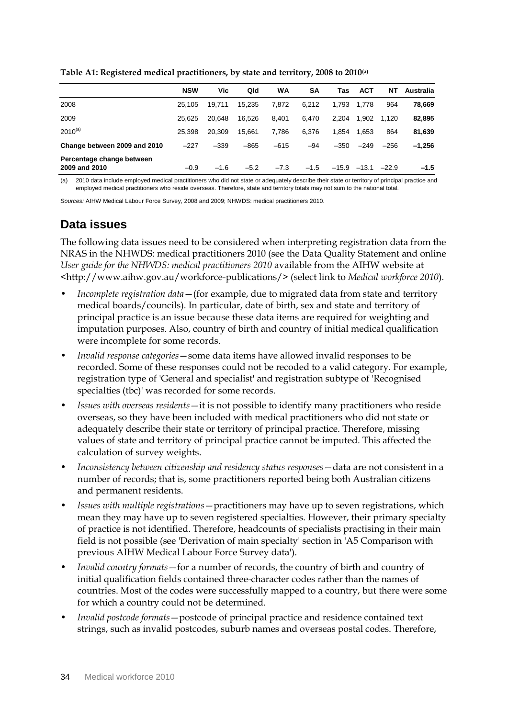|                                            | <b>NSW</b> | Vic    | Qld    | <b>WA</b> | SΑ     | Tas     | <b>ACT</b> | NΤ      | Australia |
|--------------------------------------------|------------|--------|--------|-----------|--------|---------|------------|---------|-----------|
| 2008                                       | 25.105     | 19.711 | 15.235 | 7.872     | 6.212  | 1.793   | 1.778      | 964     | 78,669    |
| 2009                                       | 25.625     | 20.648 | 16.526 | 8.401     | 6.470  | 2.204   | 1.902      | 1.120   | 82,895    |
| $2010^{(a)}$                               | 25.398     | 20.309 | 15.661 | 7.786     | 6.376  | 1.854   | 1.653      | 864     | 81,639    |
| Change between 2009 and 2010               | $-227$     | $-339$ | $-865$ | $-615$    | $-94$  | $-350$  | $-249$     | $-256$  | $-1.256$  |
| Percentage change between<br>2009 and 2010 | $-0.9$     | $-1.6$ | $-5.2$ | $-7.3$    | $-1.5$ | $-15.9$ | $-13.1$    | $-22.9$ | $-1.5$    |

**Table A1: Registered medical practitioners, by state and territory, 2008 to 2010(a)**

(a) 2010 data include employed medical practitioners who did not state or adequately describe their state or territory of principal practice and employed medical practitioners who reside overseas. Therefore, state and territory totals may not sum to the national total.

*Sources:* AIHW Medical Labour Force Survey, 2008 and 2009; NHWDS: medical practitioners 2010.

### **Data issues**

The following data issues need to be considered when interpreting registration data from the NRAS in the NHWDS: medical practitioners 2010 (see the Data Quality Statement and online *User guide for the NHWDS: medical practitioners 2010* available from the AIHW website at <http://www.aihw.gov.au/workforce-publications/> (select link to *Medical workforce 2010*).

- *Incomplete registration data*—(for example, due to migrated data from state and territory medical boards/councils). In particular, date of birth, sex and state and territory of principal practice is an issue because these data items are required for weighting and imputation purposes. Also, country of birth and country of initial medical qualification were incomplete for some records.
- *Invalid response categories*—some data items have allowed invalid responses to be recorded. Some of these responses could not be recoded to a valid category. For example, registration type of 'General and specialist' and registration subtype of 'Recognised specialties (tbc)' was recorded for some records.
- *Issues with overseas residents*—it is not possible to identify many practitioners who reside overseas, so they have been included with medical practitioners who did not state or adequately describe their state or territory of principal practice. Therefore, missing values of state and territory of principal practice cannot be imputed. This affected the calculation of survey weights.
- *Inconsistency between citizenship and residency status responses*—data are not consistent in a number of records; that is, some practitioners reported being both Australian citizens and permanent residents.
- *Issues with multiple registrations*—practitioners may have up to seven registrations, which mean they may have up to seven registered specialties. However, their primary specialty of practice is not identified. Therefore, headcounts of specialists practising in their main field is not possible (see 'Derivation of main specialty' section in 'A5 Comparison with previous AIHW Medical Labour Force Survey data').
- *Invalid country formats*—for a number of records, the country of birth and country of initial qualification fields contained three-character codes rather than the names of countries. Most of the codes were successfully mapped to a country, but there were some for which a country could not be determined.
- *Invalid postcode formats*—postcode of principal practice and residence contained text strings, such as invalid postcodes, suburb names and overseas postal codes. Therefore,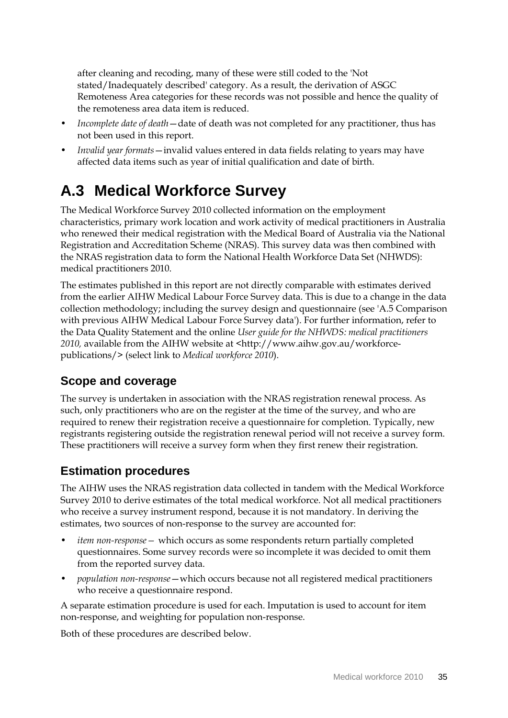after cleaning and recoding, many of these were still coded to the 'Not stated/Inadequately described' category. As a result, the derivation of ASGC Remoteness Area categories for these records was not possible and hence the quality of the remoteness area data item is reduced.

- *Incomplete date of death*—date of death was not completed for any practitioner, thus has not been used in this report.
- *Invalid year formats*—invalid values entered in data fields relating to years may have affected data items such as year of initial qualification and date of birth.

## **A.3 Medical Workforce Survey**

The Medical Workforce Survey 2010 collected information on the employment characteristics, primary work location and work activity of medical practitioners in Australia who renewed their medical registration with the Medical Board of Australia via the National Registration and Accreditation Scheme (NRAS). This survey data was then combined with the NRAS registration data to form the National Health Workforce Data Set (NHWDS): medical practitioners 2010.

The estimates published in this report are not directly comparable with estimates derived from the earlier AIHW Medical Labour Force Survey data. This is due to a change in the data collection methodology; including the survey design and questionnaire (see 'A.5 Comparison with previous AIHW Medical Labour Force Survey data'). For further information, refer to the Data Quality Statement and the online *User guide for the NHWDS: medical practitioners 2010,* available from the AIHW website at <http://www.aihw.gov.au/workforcepublications/> (select link to *Medical workforce 2010*).

### **Scope and coverage**

The survey is undertaken in association with the NRAS registration renewal process. As such, only practitioners who are on the register at the time of the survey, and who are required to renew their registration receive a questionnaire for completion. Typically, new registrants registering outside the registration renewal period will not receive a survey form. These practitioners will receive a survey form when they first renew their registration.

### **Estimation procedures**

The AIHW uses the NRAS registration data collected in tandem with the Medical Workforce Survey 2010 to derive estimates of the total medical workforce. Not all medical practitioners who receive a survey instrument respond, because it is not mandatory. In deriving the estimates, two sources of non-response to the survey are accounted for:

- *item non-response—* which occurs as some respondents return partially completed questionnaires. Some survey records were so incomplete it was decided to omit them from the reported survey data.
- *population non-response*—which occurs because not all registered medical practitioners who receive a questionnaire respond.

A separate estimation procedure is used for each. Imputation is used to account for item non-response, and weighting for population non-response.

Both of these procedures are described below.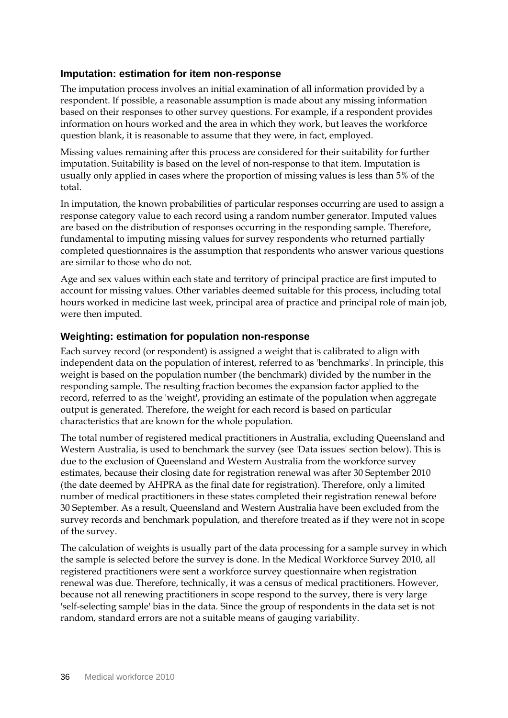#### **Imputation: estimation for item non-response**

The imputation process involves an initial examination of all information provided by a respondent. If possible, a reasonable assumption is made about any missing information based on their responses to other survey questions. For example, if a respondent provides information on hours worked and the area in which they work, but leaves the workforce question blank, it is reasonable to assume that they were, in fact, employed.

Missing values remaining after this process are considered for their suitability for further imputation. Suitability is based on the level of non-response to that item. Imputation is usually only applied in cases where the proportion of missing values is less than 5% of the total.

In imputation, the known probabilities of particular responses occurring are used to assign a response category value to each record using a random number generator. Imputed values are based on the distribution of responses occurring in the responding sample. Therefore, fundamental to imputing missing values for survey respondents who returned partially completed questionnaires is the assumption that respondents who answer various questions are similar to those who do not.

Age and sex values within each state and territory of principal practice are first imputed to account for missing values. Other variables deemed suitable for this process, including total hours worked in medicine last week, principal area of practice and principal role of main job, were then imputed.

#### **Weighting: estimation for population non-response**

Each survey record (or respondent) is assigned a weight that is calibrated to align with independent data on the population of interest, referred to as 'benchmarks'. In principle, this weight is based on the population number (the benchmark) divided by the number in the responding sample. The resulting fraction becomes the expansion factor applied to the record, referred to as the 'weight', providing an estimate of the population when aggregate output is generated. Therefore, the weight for each record is based on particular characteristics that are known for the whole population.

The total number of registered medical practitioners in Australia, excluding Queensland and Western Australia, is used to benchmark the survey (see 'Data issues' section below). This is due to the exclusion of Queensland and Western Australia from the workforce survey estimates, because their closing date for registration renewal was after 30 September 2010 (the date deemed by AHPRA as the final date for registration). Therefore, only a limited number of medical practitioners in these states completed their registration renewal before 30 September. As a result, Queensland and Western Australia have been excluded from the survey records and benchmark population, and therefore treated as if they were not in scope of the survey.

The calculation of weights is usually part of the data processing for a sample survey in which the sample is selected before the survey is done. In the Medical Workforce Survey 2010, all registered practitioners were sent a workforce survey questionnaire when registration renewal was due. Therefore, technically, it was a census of medical practitioners. However, because not all renewing practitioners in scope respond to the survey, there is very large 'self-selecting sample' bias in the data. Since the group of respondents in the data set is not random, standard errors are not a suitable means of gauging variability.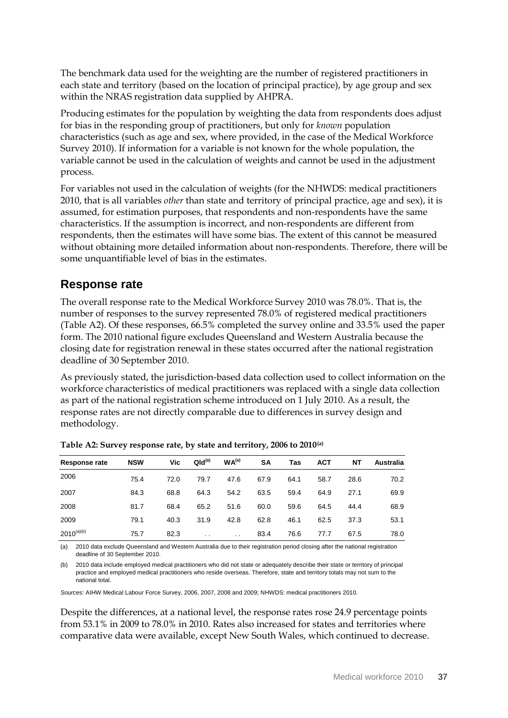The benchmark data used for the weighting are the number of registered practitioners in each state and territory (based on the location of principal practice), by age group and sex within the NRAS registration data supplied by AHPRA.

Producing estimates for the population by weighting the data from respondents does adjust for bias in the responding group of practitioners, but only for *known* population characteristics (such as age and sex, where provided, in the case of the Medical Workforce Survey 2010). If information for a variable is not known for the whole population, the variable cannot be used in the calculation of weights and cannot be used in the adjustment process.

For variables not used in the calculation of weights (for the NHWDS: medical practitioners 2010, that is all variables *other* than state and territory of principal practice, age and sex), it is assumed, for estimation purposes, that respondents and non-respondents have the same characteristics. If the assumption is incorrect, and non-respondents are different from respondents, then the estimates will have some bias. The extent of this cannot be measured without obtaining more detailed information about non-respondents. Therefore, there will be some unquantifiable level of bias in the estimates.

### **Response rate**

The overall response rate to the Medical Workforce Survey 2010 was 78.0%. That is, the number of responses to the survey represented 78.0% of registered medical practitioners (Table A2). Of these responses, 66.5% completed the survey online and 33.5% used the paper form. The 2010 national figure excludes Queensland and Western Australia because the closing date for registration renewal in these states occurred after the national registration deadline of 30 September 2010.

As previously stated, the jurisdiction-based data collection used to collect information on the workforce characteristics of medical practitioners was replaced with a single data collection as part of the national registration scheme introduced on 1 July 2010. As a result, the response rates are not directly comparable due to differences in survey design and methodology.

| Response rate   | <b>NSW</b> | Vic  | QId <sup>(a)</sup> | WA <sup>(a)</sup> | SΑ   | Tas  | <b>ACT</b> | NΤ   | Australia |
|-----------------|------------|------|--------------------|-------------------|------|------|------------|------|-----------|
| 2006            | 75.4       | 72.0 | 79.7               | 47.6              | 67.9 | 64.1 | 58.7       | 28.6 | 70.2      |
| 2007            | 84.3       | 68.8 | 64.3               | 54.2              | 63.5 | 59.4 | 64.9       | 27.1 | 69.9      |
| 2008            | 81.7       | 68.4 | 65.2               | 51.6              | 60.0 | 59.6 | 64.5       | 44.4 | 68.9      |
| 2009            | 79.1       | 40.3 | 31.9               | 42.8              | 62.8 | 46.1 | 62.5       | 37.3 | 53.1      |
| $2010^{(a)(b)}$ | 75.7       | 82.3 | $\cdot$ .          | $\cdot$ .         | 83.4 | 76.6 | 77.7       | 67.5 | 78.0      |

<span id="page-42-0"></span>

| Table A2: Survey response rate, by state and territory, 2006 to 2010(a) |  |  |
|-------------------------------------------------------------------------|--|--|
|                                                                         |  |  |

(a) 2010 data exclude Queensland and Western Australia due to their registration period closing after the national registration deadline of 30 September 2010.

(b) 2010 data include employed medical practitioners who did not state or adequately describe their state or territory of principal practice and employed medical practitioners who reside overseas. Therefore, state and territory totals may not sum to the national total.

*Sources:* AIHW Medical Labour Force Survey, 2006, 2007, 2008 and 2009; NHWDS: medical practitioners 2010.

Despite the differences, at a national level, the response rates rose 24.9 percentage points from 53.1% in 2009 to 78.0% in 2010. Rates also increased for states and territories where comparative data were available, except New South Wales, which continued to decrease.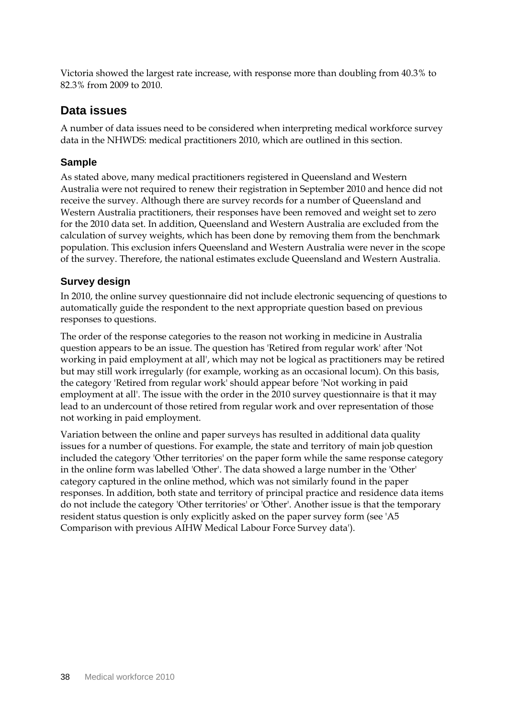Victoria showed the largest rate increase, with response more than doubling from 40.3% to 82.3% from 2009 to 2010.

#### **Data issues**

A number of data issues need to be considered when interpreting medical workforce survey data in the NHWDS: medical practitioners 2010, which are outlined in this section.

#### **Sample**

As stated above, many medical practitioners registered in Queensland and Western Australia were not required to renew their registration in September 2010 and hence did not receive the survey. Although there are survey records for a number of Queensland and Western Australia practitioners, their responses have been removed and weight set to zero for the 2010 data set. In addition, Queensland and Western Australia are excluded from the calculation of survey weights, which has been done by removing them from the benchmark population. This exclusion infers Queensland and Western Australia were never in the scope of the survey. Therefore, the national estimates exclude Queensland and Western Australia.

#### **Survey design**

In 2010, the online survey questionnaire did not include electronic sequencing of questions to automatically guide the respondent to the next appropriate question based on previous responses to questions.

The order of the response categories to the reason not working in medicine in Australia question appears to be an issue. The question has 'Retired from regular work' after 'Not working in paid employment at all', which may not be logical as practitioners may be retired but may still work irregularly (for example, working as an occasional locum). On this basis, the category 'Retired from regular work' should appear before 'Not working in paid employment at all'. The issue with the order in the 2010 survey questionnaire is that it may lead to an undercount of those retired from regular work and over representation of those not working in paid employment.

Variation between the online and paper surveys has resulted in additional data quality issues for a number of questions. For example, the state and territory of main job question included the category 'Other territories' on the paper form while the same response category in the online form was labelled 'Other'. The data showed a large number in the 'Other' category captured in the online method, which was not similarly found in the paper responses. In addition, both state and territory of principal practice and residence data items do not include the category 'Other territories' or 'Other'. Another issue is that the temporary resident status question is only explicitly asked on the paper survey form (see 'A5 Comparison with previous AIHW Medical Labour Force Survey data').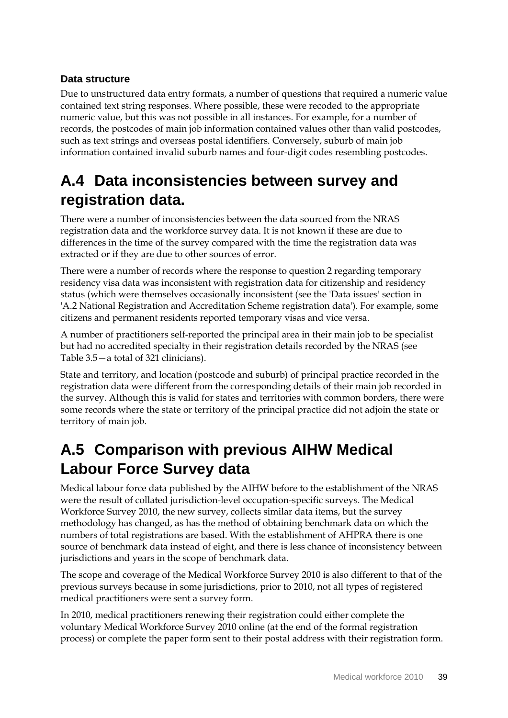### **Data structure**

Due to unstructured data entry formats, a number of questions that required a numeric value contained text string responses. Where possible, these were recoded to the appropriate numeric value, but this was not possible in all instances. For example, for a number of records, the postcodes of main job information contained values other than valid postcodes, such as text strings and overseas postal identifiers. Conversely, suburb of main job information contained invalid suburb names and four-digit codes resembling postcodes.

## **A.4 Data inconsistencies between survey and registration data.**

There were a number of inconsistencies between the data sourced from the NRAS registration data and the workforce survey data. It is not known if these are due to differences in the time of the survey compared with the time the registration data was extracted or if they are due to other sources of error.

There were a number of records where the response to question 2 regarding temporary residency visa data was inconsistent with registration data for citizenship and residency status (which were themselves occasionally inconsistent (see the 'Data issues' section in 'A.2 National Registration and Accreditation Scheme registration data'). For example, some citizens and permanent residents reported temporary visas and vice versa.

A number of practitioners self-reported the principal area in their main job to be specialist but had no accredited specialty in their registration details recorded by the NRAS (see Table 3.5—a total of 321 clinicians).

State and territory, and location (postcode and suburb) of principal practice recorded in the registration data were different from the corresponding details of their main job recorded in the survey. Although this is valid for states and territories with common borders, there were some records where the state or territory of the principal practice did not adjoin the state or territory of main job.

## **A.5 Comparison with previous AIHW Medical Labour Force Survey data**

Medical labour force data published by the AIHW before to the establishment of the NRAS were the result of collated jurisdiction-level occupation-specific surveys. The Medical Workforce Survey 2010, the new survey, collects similar data items, but the survey methodology has changed, as has the method of obtaining benchmark data on which the numbers of total registrations are based. With the establishment of AHPRA there is one source of benchmark data instead of eight, and there is less chance of inconsistency between jurisdictions and years in the scope of benchmark data.

The scope and coverage of the Medical Workforce Survey 2010 is also different to that of the previous surveys because in some jurisdictions, prior to 2010, not all types of registered medical practitioners were sent a survey form.

In 2010, medical practitioners renewing their registration could either complete the voluntary Medical Workforce Survey 2010 online (at the end of the formal registration process) or complete the paper form sent to their postal address with their registration form.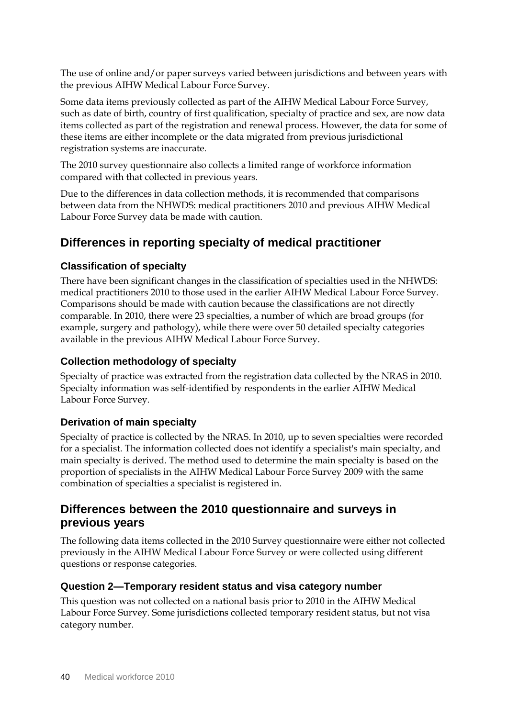The use of online and/or paper surveys varied between jurisdictions and between years with the previous AIHW Medical Labour Force Survey.

Some data items previously collected as part of the AIHW Medical Labour Force Survey, such as date of birth, country of first qualification, specialty of practice and sex, are now data items collected as part of the registration and renewal process. However, the data for some of these items are either incomplete or the data migrated from previous jurisdictional registration systems are inaccurate.

The 2010 survey questionnaire also collects a limited range of workforce information compared with that collected in previous years.

Due to the differences in data collection methods, it is recommended that comparisons between data from the NHWDS: medical practitioners 2010 and previous AIHW Medical Labour Force Survey data be made with caution.

## **Differences in reporting specialty of medical practitioner**

### **Classification of specialty**

There have been significant changes in the classification of specialties used in the NHWDS: medical practitioners 2010 to those used in the earlier AIHW Medical Labour Force Survey. Comparisons should be made with caution because the classifications are not directly comparable. In 2010, there were 23 specialties, a number of which are broad groups (for example, surgery and pathology), while there were over 50 detailed specialty categories available in the previous AIHW Medical Labour Force Survey.

### **Collection methodology of specialty**

Specialty of practice was extracted from the registration data collected by the NRAS in 2010. Specialty information was self-identified by respondents in the earlier AIHW Medical Labour Force Survey.

### **Derivation of main specialty**

Specialty of practice is collected by the NRAS. In 2010, up to seven specialties were recorded for a specialist. The information collected does not identify a specialist's main specialty, and main specialty is derived. The method used to determine the main specialty is based on the proportion of specialists in the AIHW Medical Labour Force Survey 2009 with the same combination of specialties a specialist is registered in.

### **Differences between the 2010 questionnaire and surveys in previous years**

The following data items collected in the 2010 Survey questionnaire were either not collected previously in the AIHW Medical Labour Force Survey or were collected using different questions or response categories.

### **Question 2—Temporary resident status and visa category number**

This question was not collected on a national basis prior to 2010 in the AIHW Medical Labour Force Survey. Some jurisdictions collected temporary resident status, but not visa category number.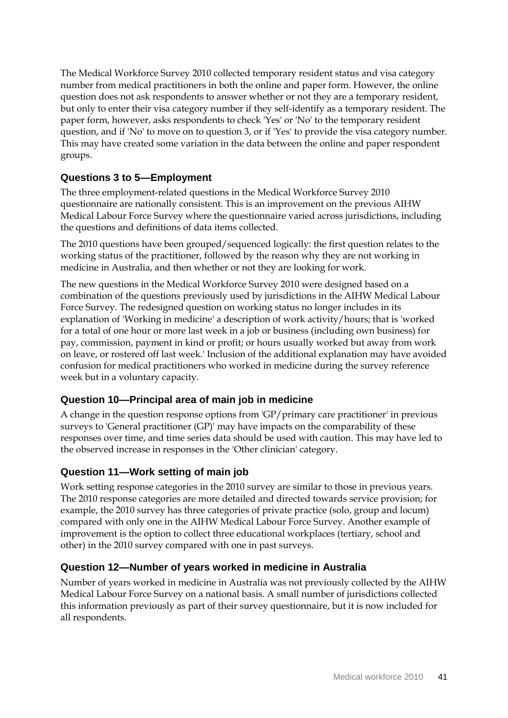The Medical Workforce Survey 2010 collected temporary resident status and visa category number from medical practitioners in both the online and paper form. However, the online question does not ask respondents to answer whether or not they are a temporary resident, but only to enter their visa category number if they self-identify as a temporary resident. The paper form, however, asks respondents to check 'Yes' or 'No' to the temporary resident question, and if 'No' to move on to question 3, or if 'Yes' to provide the visa category number. This may have created some variation in the data between the online and paper respondent groups.

#### **Questions 3 to 5—Employment**

The three employment-related questions in the Medical Workforce Survey 2010 questionnaire are nationally consistent. This is an improvement on the previous AIHW Medical Labour Force Survey where the questionnaire varied across jurisdictions, including the questions and definitions of data items collected.

The 2010 questions have been grouped/sequenced logically: the first question relates to the working status of the practitioner, followed by the reason why they are not working in medicine in Australia, and then whether or not they are looking for work.

The new questions in the Medical Workforce Survey 2010 were designed based on a combination of the questions previously used by jurisdictions in the AIHW Medical Labour Force Survey. The redesigned question on working status no longer includes in its explanation of 'Working in medicine' a description of work activity/hours; that is 'worked for a total of one hour or more last week in a job or business (including own business) for pay, commission, payment in kind or profit; or hours usually worked but away from work on leave, or rostered off last week.' Inclusion of the additional explanation may have avoided confusion for medical practitioners who worked in medicine during the survey reference week but in a voluntary capacity.

#### **Question 10—Principal area of main job in medicine**

A change in the question response options from 'GP/primary care practitioner' in previous surveys to 'General practitioner (GP)' may have impacts on the comparability of these responses over time, and time series data should be used with caution. This may have led to the observed increase in responses in the 'Other clinician' category.

### **Question 11—Work setting of main job**

Work setting response categories in the 2010 survey are similar to those in previous years. The 2010 response categories are more detailed and directed towards service provision; for example, the 2010 survey has three categories of private practice (solo, group and locum) compared with only one in the AIHW Medical Labour Force Survey. Another example of improvement is the option to collect three educational workplaces (tertiary, school and other) in the 2010 survey compared with one in past surveys.

#### **Question 12—Number of years worked in medicine in Australia**

Number of years worked in medicine in Australia was not previously collected by the AIHW Medical Labour Force Survey on a national basis. A small number of jurisdictions collected this information previously as part of their survey questionnaire, but it is now included for all respondents.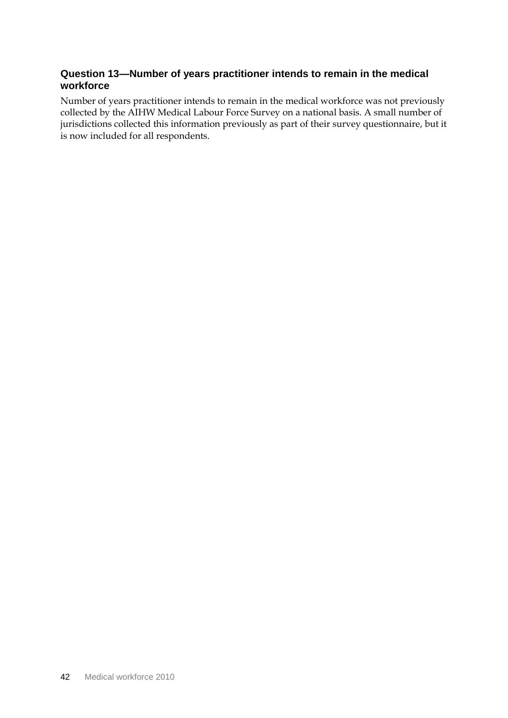### **Question 13—Number of years practitioner intends to remain in the medical workforce**

Number of years practitioner intends to remain in the medical workforce was not previously collected by the AIHW Medical Labour Force Survey on a national basis. A small number of jurisdictions collected this information previously as part of their survey questionnaire, but it is now included for all respondents.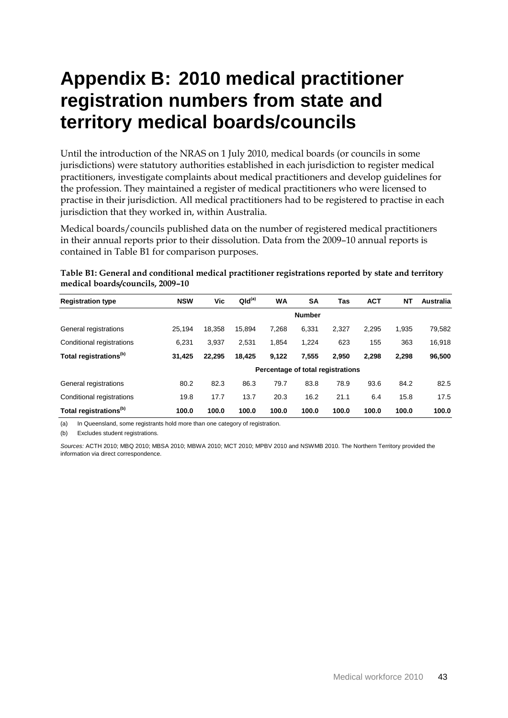# <span id="page-48-0"></span>**Appendix B: 2010 medical practitioner registration numbers from state and territory medical boards/councils**

Until the introduction of the NRAS on 1 July 2010, medical boards (or councils in some jurisdictions) were statutory authorities established in each jurisdiction to register medical practitioners, investigate complaints about medical practitioners and develop guidelines for the profession. They maintained a register of medical practitioners who were licensed to practise in their jurisdiction. All medical practitioners had to be registered to practise in each jurisdiction that they worked in, within Australia.

Medical boards/councils published data on the number of registered medical practitioners in their annual reports prior to their dissolution. Data from the 2009–10 annual reports is contained in Table B1 for comparison purposes.

| <b>Registration type</b>           | <b>NSW</b> | Vic                               | QId <sup>(a)</sup> | <b>WA</b> | <b>SA</b>     | Tas   | <b>ACT</b> | NT    | Australia |
|------------------------------------|------------|-----------------------------------|--------------------|-----------|---------------|-------|------------|-------|-----------|
|                                    |            |                                   |                    |           | <b>Number</b> |       |            |       |           |
| General registrations              | 25.194     | 18,358                            | 15.894             | 7.268     | 6.331         | 2.327 | 2.295      | 1.935 | 79,582    |
| Conditional registrations          | 6.231      | 3.937                             | 2.531              | 1.854     | 1.224         | 623   | 155        | 363   | 16,918    |
| Total registrations <sup>(b)</sup> | 31.425     | 22.295                            | 18,425             | 9,122     | 7.555         | 2.950 | 2.298      | 2,298 | 96,500    |
|                                    |            | Percentage of total registrations |                    |           |               |       |            |       |           |
| General registrations              | 80.2       | 82.3                              | 86.3               | 79.7      | 83.8          | 78.9  | 93.6       | 84.2  | 82.5      |
| Conditional registrations          | 19.8       | 17.7                              | 13.7               | 20.3      | 16.2          | 21.1  | 6.4        | 15.8  | 17.5      |
| Total registrations <sup>(b)</sup> | 100.0      | 100.0                             | 100.0              | 100.0     | 100.0         | 100.0 | 100.0      | 100.0 | 100.0     |

<span id="page-48-1"></span>**Table B1: General and conditional medical practitioner registrations reported by state and territory medical boards/councils, 2009–10**

(a) In Queensland, some registrants hold more than one category of registration.

(b) Excludes student registrations.

*Sources:* ACTH 2010; MBQ 2010; MBSA 2010; MBWA 2010; MCT 2010; MPBV 2010 and NSWMB 2010. The Northern Territory provided the information via direct correspondence.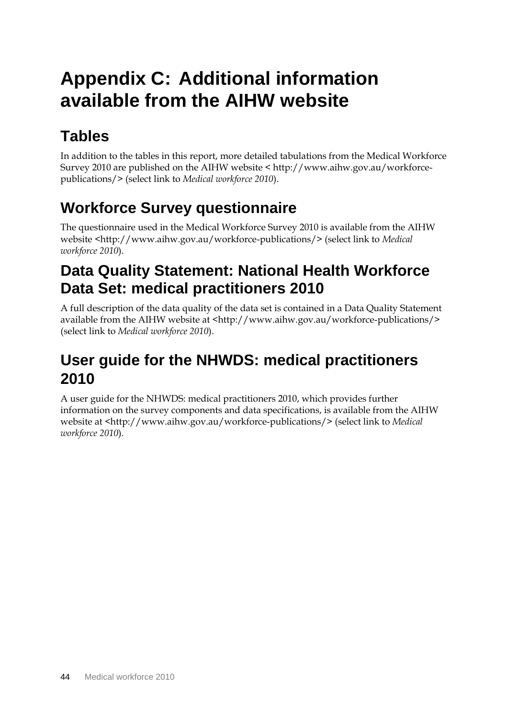# <span id="page-49-0"></span>**Appendix C: Additional information available from the AIHW website**

# **Tables**

In addition to the tables in this report, more detailed tabulations from the Medical Workforce Survey 2010 are published on the AIHW website < http://www.aihw.gov.au/workforcepublications/> (select link to *Medical workforce 2010*).

## **Workforce Survey questionnaire**

The questionnaire used in the Medical Workforce Survey 2010 is available from the AIHW website <http://www.aihw.gov.au/workforce-publications/> (select link to *Medical workforce 2010*).

## **Data Quality Statement: National Health Workforce Data Set: medical practitioners 2010**

A full description of the data quality of the data set is contained in a Data Quality Statement available from the AIHW website at <http://www.aihw.gov.au/workforce-publications/> (select link to *Medical workforce 2010*).

## **User guide for the NHWDS: medical practitioners 2010**

A user guide for the NHWDS: medical practitioners 2010, which provides further information on the survey components and data specifications, is available from the AIHW website at <http://www.aihw.gov.au/workforce-publications/> (select link to *Medical workforce 2010*).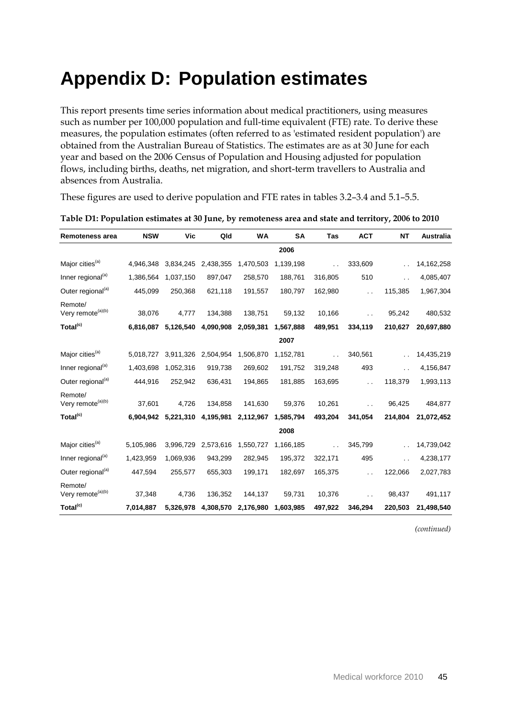# <span id="page-50-0"></span>**Appendix D: Population estimates**

This report presents time series information about medical practitioners, using measures such as number per 100,000 population and full-time equivalent (FTE) rate. To derive these measures, the population estimates (often referred to as 'estimated resident population') are obtained from the Australian Bureau of Statistics. The estimates are as at 30 June for each year and based on the 2006 Census of Population and Housing adjusted for population flows, including births, deaths, net migration, and short-term travellers to Australia and absences from Australia.

These figures are used to derive population and FTE rates in tables 3.2–3.4 and 5.1–5.5.

| <b>Remoteness area</b>                   | <b>NSW</b> | Vic       | Qld       | WA        | <b>SA</b> | Tas                  | <b>ACT</b>           | <b>NT</b> | Australia    |
|------------------------------------------|------------|-----------|-----------|-----------|-----------|----------------------|----------------------|-----------|--------------|
|                                          |            |           |           |           | 2006      |                      |                      |           |              |
| Major cities <sup>(a)</sup>              | 4,946,348  | 3,834,245 | 2,438,355 | 1,470,503 | 1,139,198 | $\ddot{\phantom{0}}$ | 333,609              |           | 14, 162, 258 |
| Inner regional <sup>(a)</sup>            | 1,386,564  | 1,037,150 | 897,047   | 258,570   | 188,761   | 316,805              | 510                  | . .       | 4,085,407    |
| Outer regional <sup>(a)</sup>            | 445,099    | 250,368   | 621,118   | 191,557   | 180,797   | 162,980              |                      | 115,385   | 1,967,304    |
| Remote/<br>Very remote <sup>(a)(b)</sup> | 38,076     | 4,777     | 134,388   | 138,751   | 59,132    | 10,166               |                      | 95,242    | 480,532      |
| Total <sup>(c)</sup>                     | 6,816,087  | 5,126,540 | 4,090,908 | 2,059,381 | 1,567,888 | 489,951              | 334,119              | 210,627   | 20,697,880   |
|                                          |            |           |           |           | 2007      |                      |                      |           |              |
| Major cities <sup>(a)</sup>              | 5,018,727  | 3,911,326 | 2,504,954 | 1,506,870 | 1,152,781 | $\ddot{\phantom{0}}$ | 340,561              |           | 14,435,219   |
| Inner regional <sup>(a)</sup>            | 1,403,698  | 1,052,316 | 919,738   | 269,602   | 191,752   | 319,248              | 493                  | . .       | 4,156,847    |
| Outer regional <sup>(a)</sup>            | 444,916    | 252,942   | 636,431   | 194,865   | 181,885   | 163,695              | $\ddot{\phantom{0}}$ | 118,379   | 1,993,113    |
| Remote/<br>Very remote <sup>(a)(b)</sup> | 37,601     | 4,726     | 134,858   | 141,630   | 59,376    | 10,261               |                      | 96,425    | 484,877      |
| Total <sup>(c)</sup>                     | 6,904,942  | 5,221,310 | 4,195,981 | 2,112,967 | 1,585,794 | 493,204              | 341,054              | 214,804   | 21,072,452   |
|                                          |            |           |           |           | 2008      |                      |                      |           |              |
| Major cities <sup>(a)</sup>              | 5,105,986  | 3,996,729 | 2,573,616 | 1,550,727 | 1,166,185 | $\ddot{\phantom{0}}$ | 345,799              |           | 14,739,042   |
| Inner regional <sup>(a)</sup>            | 1,423,959  | 1,069,936 | 943,299   | 282,945   | 195,372   | 322,171              | 495                  | . .       | 4,238,177    |
| Outer regional <sup>(a)</sup>            | 447,594    | 255,577   | 655,303   | 199,171   | 182,697   | 165,375              | $\ddot{\phantom{0}}$ | 122,066   | 2,027,783    |
| Remote/<br>Very remote <sup>(a)(b)</sup> | 37,348     | 4,736     | 136,352   | 144,137   | 59,731    | 10,376               |                      | 98,437    | 491,117      |
| Total <sup>(c)</sup>                     | 7,014,887  | 5,326,978 | 4,308,570 | 2,176,980 | 1,603,985 | 497,922              | 346,294              | 220,503   | 21,498,540   |

<span id="page-50-1"></span>**Table D1: Population estimates at 30 June, by remoteness area and state and territory, 2006 to 2010**

*(continued)*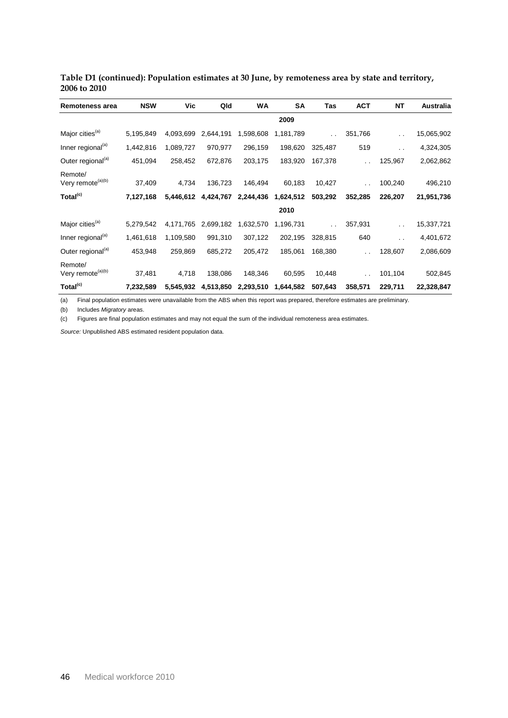| Remoteness area                          | <b>NSW</b> | Vic       | Qld       | WA        | SA        | Tas     | <b>ACT</b>           | <b>NT</b>            | Australia  |
|------------------------------------------|------------|-----------|-----------|-----------|-----------|---------|----------------------|----------------------|------------|
|                                          |            |           |           |           | 2009      |         |                      |                      |            |
| Major cities <sup>(a)</sup>              | 5,195,849  | 4,093,699 | 2,644,191 | 1,598,608 | 1,181,789 |         | 351,766              |                      | 15,065,902 |
| Inner regional <sup>(a)</sup>            | 1,442,816  | 1,089,727 | 970,977   | 296,159   | 198,620   | 325,487 | 519                  | $\ddot{\phantom{1}}$ | 4,324,305  |
| Outer regional <sup>(a)</sup>            | 451,094    | 258,452   | 672,876   | 203,175   | 183,920   | 167,378 | $\ddot{\phantom{0}}$ | 125,967              | 2,062,862  |
| Remote/<br>Very remote <sup>(a)(b)</sup> | 37,409     | 4,734     | 136,723   | 146,494   | 60,183    | 10,427  | $\ddot{\phantom{0}}$ | 100,240              | 496,210    |
| Total <sup>(c)</sup>                     | 7,127,168  | 5,446,612 | 4,424,767 | 2,244,436 | 1,624,512 | 503,292 | 352,285              | 226,207              | 21,951,736 |
|                                          |            |           |           |           | 2010      |         |                      |                      |            |
| Major cities <sup>(a)</sup>              | 5,279,542  | 4,171,765 | 2,699,182 | 1,632,570 | 1,196,731 |         | 357,931              | . .                  | 15,337,721 |
| Inner regional <sup>(a)</sup>            | 1,461,618  | 1,109,580 | 991,310   | 307,122   | 202,195   | 328,815 | 640                  | . .                  | 4,401,672  |
| Outer regional <sup>(a)</sup>            | 453,948    | 259,869   | 685,272   | 205,472   | 185,061   | 168,380 | $\ddot{\phantom{0}}$ | 128,607              | 2,086,609  |
| Remote/<br>Very remote <sup>(a)(b)</sup> | 37,481     | 4,718     | 138,086   | 148,346   | 60,595    | 10,448  | $\ddot{\phantom{0}}$ | 101,104              | 502,845    |
| Total <sup>(c)</sup>                     | 7,232,589  | 5,545,932 | 4,513,850 | 2,293,510 | 1,644,582 | 507,643 | 358,571              | 229,711              | 22,328,847 |

#### **Table D1 (continued): Population estimates at 30 June, by remoteness area by state and territory, 2006 to 2010**

(a) Final population estimates were unavailable from the ABS when this report was prepared, therefore estimates are preliminary.

(b) Includes *Migratory* areas.

(c) Figures are final population estimates and may not equal the sum of the individual remoteness area estimates.

*Source:* Unpublished ABS estimated resident population data.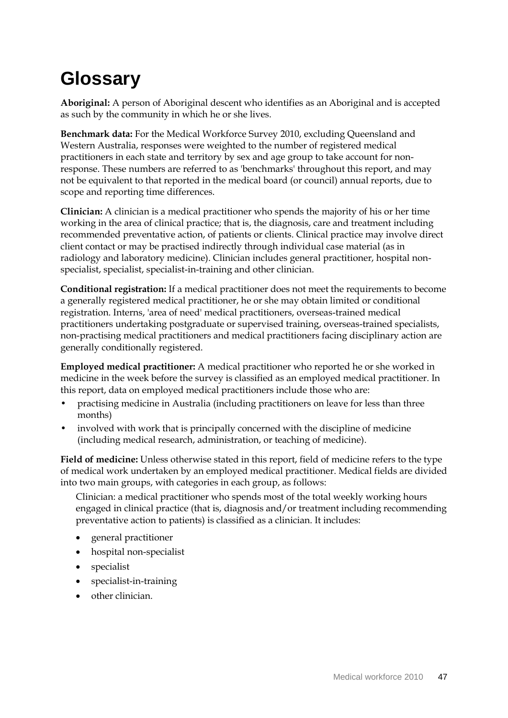# **Glossary**

**Aboriginal:** A person of Aboriginal descent who identifies as an Aboriginal and is accepted as such by the community in which he or she lives.

**Benchmark data:** For the Medical Workforce Survey 2010, excluding Queensland and Western Australia, responses were weighted to the number of registered medical practitioners in each state and territory by sex and age group to take account for nonresponse. These numbers are referred to as 'benchmarks' throughout this report, and may not be equivalent to that reported in the medical board (or council) annual reports, due to scope and reporting time differences.

**Clinician:** A clinician is a medical practitioner who spends the majority of his or her time working in the area of clinical practice; that is, the diagnosis, care and treatment including recommended preventative action, of patients or clients. Clinical practice may involve direct client contact or may be practised indirectly through individual case material (as in radiology and laboratory medicine). Clinician includes general practitioner, hospital nonspecialist, specialist, specialist-in-training and other clinician.

**Conditional registration:** If a medical practitioner does not meet the requirements to become a generally registered medical practitioner, he or she may obtain limited or conditional registration. Interns, 'area of need' medical practitioners, overseas-trained medical practitioners undertaking postgraduate or supervised training, overseas-trained specialists, non-practising medical practitioners and medical practitioners facing disciplinary action are generally conditionally registered.

**Employed medical practitioner:** A medical practitioner who reported he or she worked in medicine in the week before the survey is classified as an employed medical practitioner. In this report, data on employed medical practitioners include those who are:

- practising medicine in Australia (including practitioners on leave for less than three months)
- involved with work that is principally concerned with the discipline of medicine (including medical research, administration, or teaching of medicine).

**Field of medicine:** Unless otherwise stated in this report, field of medicine refers to the type of medical work undertaken by an employed medical practitioner. Medical fields are divided into two main groups, with categories in each group, as follows:

Clinician: a medical practitioner who spends most of the total weekly working hours engaged in clinical practice (that is, diagnosis and/or treatment including recommending preventative action to patients) is classified as a clinician. It includes:

- general practitioner
- hospital non-specialist
- specialist
- specialist-in-training
- other clinician.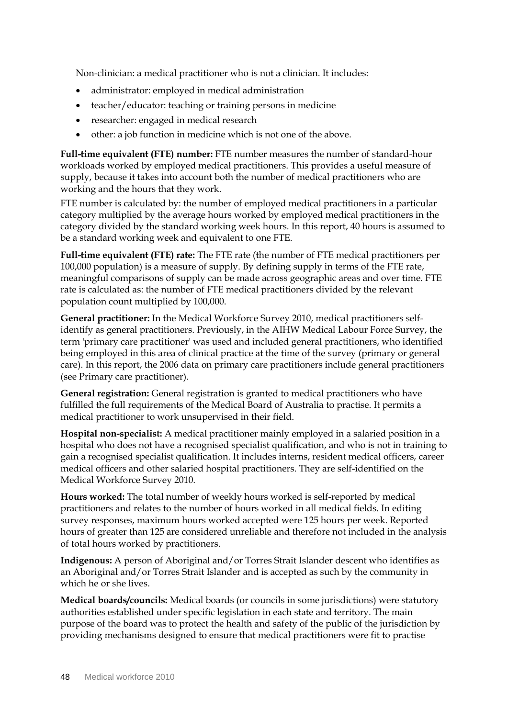Non-clinician: a medical practitioner who is not a clinician. It includes:

- administrator: employed in medical administration
- teacher/educator: teaching or training persons in medicine
- researcher: engaged in medical research
- other: a job function in medicine which is not one of the above.

**Full-time equivalent (FTE) number:** FTE number measures the number of standard-hour workloads worked by employed medical practitioners. This provides a useful measure of supply, because it takes into account both the number of medical practitioners who are working and the hours that they work.

FTE number is calculated by: the number of employed medical practitioners in a particular category multiplied by the average hours worked by employed medical practitioners in the category divided by the standard working week hours. In this report, 40 hours is assumed to be a standard working week and equivalent to one FTE.

**Full-time equivalent (FTE) rate:** The FTE rate (the number of FTE medical practitioners per 100,000 population) is a measure of supply. By defining supply in terms of the FTE rate, meaningful comparisons of supply can be made across geographic areas and over time. FTE rate is calculated as: the number of FTE medical practitioners divided by the relevant population count multiplied by 100,000.

**General practitioner:** In the Medical Workforce Survey 2010, medical practitioners selfidentify as general practitioners. Previously, in the AIHW Medical Labour Force Survey, the term 'primary care practitioner' was used and included general practitioners, who identified being employed in this area of clinical practice at the time of the survey (primary or general care). In this report, the 2006 data on primary care practitioners include general practitioners (see Primary care practitioner).

**General registration:** General registration is granted to medical practitioners who have fulfilled the full requirements of the Medical Board of Australia to practise. It permits a medical practitioner to work unsupervised in their field.

**Hospital non-specialist:** A medical practitioner mainly employed in a salaried position in a hospital who does not have a recognised specialist qualification, and who is not in training to gain a recognised specialist qualification. It includes interns, resident medical officers, career medical officers and other salaried hospital practitioners. They are self-identified on the Medical Workforce Survey 2010.

**Hours worked:** The total number of weekly hours worked is self-reported by medical practitioners and relates to the number of hours worked in all medical fields. In editing survey responses, maximum hours worked accepted were 125 hours per week. Reported hours of greater than 125 are considered unreliable and therefore not included in the analysis of total hours worked by practitioners.

**Indigenous:** A person of Aboriginal and/or Torres Strait Islander descent who identifies as an Aboriginal and/or Torres Strait Islander and is accepted as such by the community in which he or she lives.

**Medical boards/councils:** Medical boards (or councils in some jurisdictions) were statutory authorities established under specific legislation in each state and territory. The main purpose of the board was to protect the health and safety of the public of the jurisdiction by providing mechanisms designed to ensure that medical practitioners were fit to practise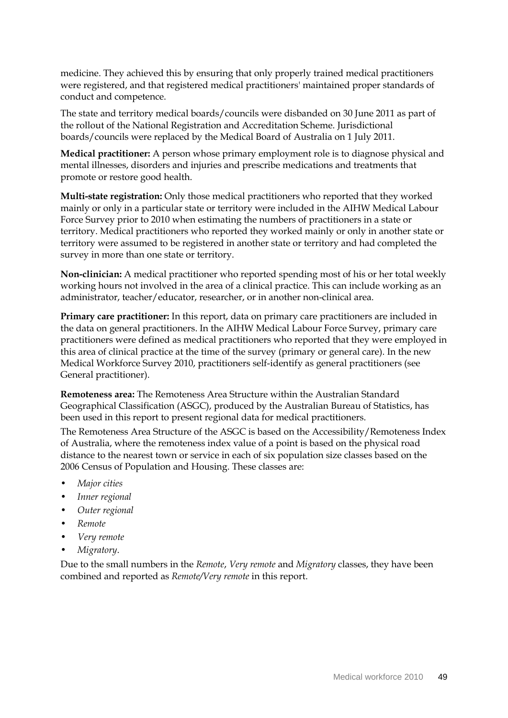medicine. They achieved this by ensuring that only properly trained medical practitioners were registered, and that registered medical practitioners' maintained proper standards of conduct and competence.

The state and territory medical boards/councils were disbanded on 30 June 2011 as part of the rollout of the National Registration and Accreditation Scheme. Jurisdictional boards/councils were replaced by the Medical Board of Australia on 1 July 2011.

**Medical practitioner:** A person whose primary employment role is to diagnose physical and mental illnesses, disorders and injuries and prescribe medications and treatments that promote or restore good health.

**Multi-state registration:** Only those medical practitioners who reported that they worked mainly or only in a particular state or territory were included in the AIHW Medical Labour Force Survey prior to 2010 when estimating the numbers of practitioners in a state or territory. Medical practitioners who reported they worked mainly or only in another state or territory were assumed to be registered in another state or territory and had completed the survey in more than one state or territory.

**Non-clinician:** A medical practitioner who reported spending most of his or her total weekly working hours not involved in the area of a clinical practice. This can include working as an administrator, teacher/educator, researcher, or in another non-clinical area.

**Primary care practitioner:** In this report, data on primary care practitioners are included in the data on general practitioners. In the AIHW Medical Labour Force Survey, primary care practitioners were defined as medical practitioners who reported that they were employed in this area of clinical practice at the time of the survey (primary or general care). In the new Medical Workforce Survey 2010, practitioners self-identify as general practitioners (see General practitioner).

**Remoteness area:** The Remoteness Area Structure within the Australian Standard Geographical Classification (ASGC), produced by the Australian Bureau of Statistics, has been used in this report to present regional data for medical practitioners.

The Remoteness Area Structure of the ASGC is based on the Accessibility/Remoteness Index of Australia, where the remoteness index value of a point is based on the physical road distance to the nearest town or service in each of six population size classes based on the 2006 Census of Population and Housing. These classes are:

- *Major cities*
- *Inner regional*
- *Outer regional*
- *Remote*
- *Very remote*
- *Migratory*.

Due to the small numbers in the *Remote*, *Very remote* and *Migratory* classes, they have been combined and reported as *Remote/Very remote* in this report.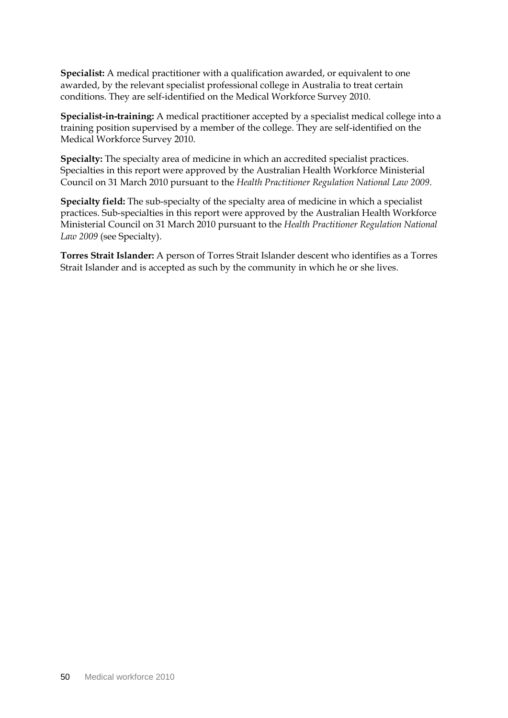**Specialist:** A medical practitioner with a qualification awarded, or equivalent to one awarded, by the relevant specialist professional college in Australia to treat certain conditions. They are self-identified on the Medical Workforce Survey 2010.

**Specialist-in-training:** A medical practitioner accepted by a specialist medical college into a training position supervised by a member of the college. They are self-identified on the Medical Workforce Survey 2010.

**Specialty:** The specialty area of medicine in which an accredited specialist practices. Specialties in this report were approved by the Australian Health Workforce Ministerial Council on 31 March 2010 pursuant to the *Health Practitioner Regulation National Law 2009*.

**Specialty field:** The sub-specialty of the specialty area of medicine in which a specialist practices. Sub-specialties in this report were approved by the Australian Health Workforce Ministerial Council on 31 March 2010 pursuant to the *Health Practitioner Regulation National Law 2009* (see Specialty).

**Torres Strait Islander:** A person of Torres Strait Islander descent who identifies as a Torres Strait Islander and is accepted as such by the community in which he or she lives.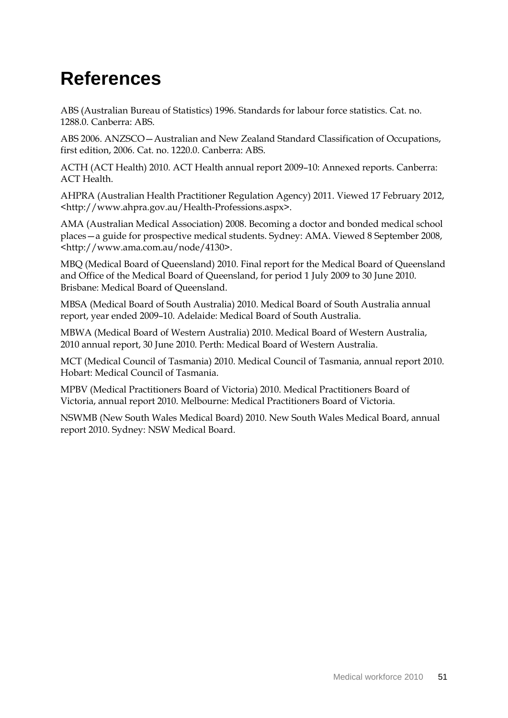# <span id="page-56-0"></span>**References**

ABS (Australian Bureau of Statistics) 1996. Standards for labour force statistics. Cat. no. 1288.0. Canberra: ABS.

ABS 2006. ANZSCO—Australian and New Zealand Standard Classification of Occupations, first edition, 2006. Cat. no. 1220.0. Canberra: ABS.

ACTH (ACT Health) 2010. ACT Health annual report 2009–10: Annexed reports. Canberra: ACT Health.

<span id="page-56-1"></span>AHPRA (Australian Health Practitioner Regulation Agency) 2011. Viewed 17 February 2012, <http://www.ahpra.gov.au/Health-Professions.aspx>.

AMA (Australian Medical Association) 2008. Becoming a doctor and bonded medical school places—a guide for prospective medical students. Sydney: AMA. Viewed 8 September 2008, <http://www.ama.com.au/node/4130>.

MBQ (Medical Board of Queensland) 2010. Final report for the Medical Board of Queensland and Office of the Medical Board of Queensland, for period 1 July 2009 to 30 June 2010. Brisbane: Medical Board of Queensland.

MBSA (Medical Board of South Australia) 2010. Medical Board of South Australia annual report, year ended 2009–10. Adelaide: Medical Board of South Australia.

MBWA (Medical Board of Western Australia) 2010. Medical Board of Western Australia, 2010 annual report, 30 June 2010. Perth: Medical Board of Western Australia.

MCT (Medical Council of Tasmania) 2010. Medical Council of Tasmania, annual report 2010. Hobart: Medical Council of Tasmania.

MPBV (Medical Practitioners Board of Victoria) 2010. Medical Practitioners Board of Victoria, annual report 2010. Melbourne: Medical Practitioners Board of Victoria.

NSWMB (New South Wales Medical Board) 2010. New South Wales Medical Board, annual report 2010. Sydney: NSW Medical Board.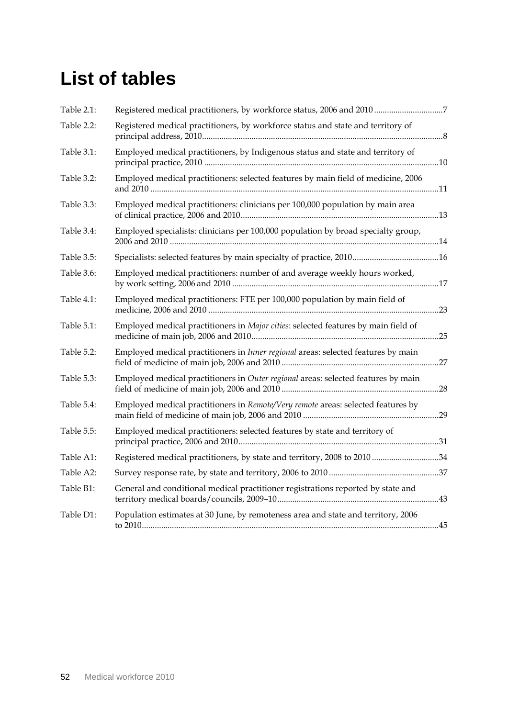# <span id="page-57-0"></span>**List of tables**

| Table 2.1: |                                                                                    |  |
|------------|------------------------------------------------------------------------------------|--|
| Table 2.2: | Registered medical practitioners, by workforce status and state and territory of   |  |
| Table 3.1: | Employed medical practitioners, by Indigenous status and state and territory of    |  |
| Table 3.2: | Employed medical practitioners: selected features by main field of medicine, 2006  |  |
| Table 3.3: | Employed medical practitioners: clinicians per 100,000 population by main area     |  |
| Table 3.4: | Employed specialists: clinicians per 100,000 population by broad specialty group,  |  |
| Table 3.5: |                                                                                    |  |
| Table 3.6: | Employed medical practitioners: number of and average weekly hours worked,         |  |
| Table 4.1: | Employed medical practitioners: FTE per 100,000 population by main field of        |  |
| Table 5.1: | Employed medical practitioners in Major cities: selected features by main field of |  |
| Table 5.2: | Employed medical practitioners in Inner regional areas: selected features by main  |  |
| Table 5.3: | Employed medical practitioners in Outer regional areas: selected features by main  |  |
| Table 5.4: | Employed medical practitioners in Remote/Very remote areas: selected features by   |  |
| Table 5.5: | Employed medical practitioners: selected features by state and territory of        |  |
| Table A1:  | Registered medical practitioners, by state and territory, 2008 to 2010 34          |  |
| Table A2:  |                                                                                    |  |
| Table B1:  | General and conditional medical practitioner registrations reported by state and   |  |
| Table D1:  | Population estimates at 30 June, by remoteness area and state and territory, 2006  |  |